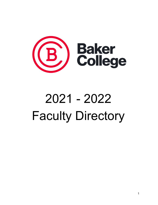

# 2021 - 2022 Faculty Directory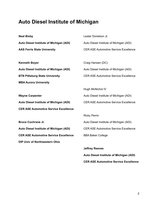#### **Auto Diesel Institute of Michigan**

| <b>Neal Bixby</b>                            | Lester Donelson Jr.                          |
|----------------------------------------------|----------------------------------------------|
| Auto Diesel Institute of Michigan (ADI)      | Auto Diesel Institute of Michigan (ADI)      |
| <b>AAS Ferris State University</b>           | <b>CER ASE Automotive Service Excellence</b> |
|                                              |                                              |
| <b>Kenneth Boyer</b>                         | Craig Hansen (DC)                            |
| Auto Diesel Institute of Michigan (ADI)      | Auto Diesel Institute of Michigan (ADI)      |
| <b>BTN Pittsburg State University</b>        | <b>CER ASE Automotive Service Excellence</b> |
| <b>MBA Aurora University</b>                 |                                              |
|                                              | Hugh McNichol IV                             |
| <b>Wayne Carpenter</b>                       | Auto Diesel Institute of Michigan (ADI)      |
| Auto Diesel Institute of Michigan (ADI)      | <b>CER ASE Automotive Service Excellence</b> |
| <b>CER ASE Automotive Service Excellence</b> |                                              |
|                                              | <b>Ricky Perrin</b>                          |
| <b>Bruce Cochrane Jr.</b>                    | Auto Diesel Institute of Michigan (ADI)      |
| Auto Diesel Institute of Michigan (ADI)      | <b>CER ASE Automotive Service Excellence</b> |
| <b>CER ASE Automotive Service Excellence</b> | <b>BBA Baker College</b>                     |
| DIP Univ of Northwestern Ohio                |                                              |
|                                              | <b>Jeffrey Reeves</b>                        |
|                                              | Auto Diesel Institute of Michigan (ADI)      |

2

**CER ASE Automotive Service Excellence**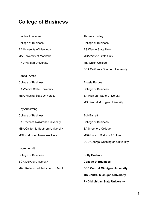## **College of Business**

| <b>Stanley Amaladas</b>                   | <b>Thomas Badley</b>                      |
|-------------------------------------------|-------------------------------------------|
| <b>College of Business</b>                | <b>College of Business</b>                |
| <b>BA University of Manitoba</b>          | <b>BS Wayne State Univ</b>                |
| MA University of Manitoba                 | MBA Wayne State Univ                      |
| <b>PHD Walden University</b>              | <b>MS Walsh College</b>                   |
|                                           | <b>DBA California Southern University</b> |
| <b>Randall Amos</b>                       |                                           |
| <b>College of Business</b>                | Angela Barone                             |
| <b>BA Wichita State University</b>        | <b>College of Business</b>                |
| <b>MBA Wichita State University</b>       | <b>BA Michigan State University</b>       |
|                                           | <b>MS Central Michigan University</b>     |
| Roy Armstrong                             |                                           |
| <b>College of Business</b>                | <b>Bob Barrett</b>                        |
| <b>BA Trevecca Nazarene University</b>    | <b>College of Business</b>                |
| <b>MBA California Southern University</b> | <b>BA Shepherd College</b>                |
| MDI Northwest Nazarene Univ               | <b>MBA Univ of District of Columb</b>     |
|                                           | <b>DED George Washington University</b>   |
| Lauren Arndt                              |                                           |
| <b>College of Business</b>                | <b>Polly Bashore</b>                      |
| <b>BCR DePaul University</b>              | <b>College of Business</b>                |
| MAF Keller Gradute School of MGT          | <b>BSE Central Michigan University</b>    |
|                                           | <b>MS Central Michigan University</b>     |
|                                           | <b>PHD Michigan State University</b>      |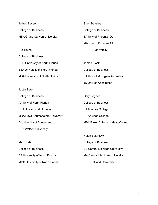| Jeffrey Bassett                        | Sheri Beasley                 |
|----------------------------------------|-------------------------------|
| <b>College of Business</b>             | <b>College of Business</b>    |
| <b>MBA Grand Canyon University</b>     | BA Univ of Phoenix- OL        |
|                                        | MA Univ of Phoenix- OL        |
| Eric Bateh                             | <b>PHD Tui University</b>     |
| <b>College of Business</b>             |                               |
| <b>ASR University of North Florida</b> | James Block                   |
| <b>BBA University of North Florida</b> | <b>College of Business</b>    |
| <b>MBA University of North Florida</b> | BA Univ of Michigan-Ann Arbor |
|                                        | JD Univ of Washington         |

| Justin Bateh                            |                                       |
|-----------------------------------------|---------------------------------------|
| <b>College of Business</b>              | Gary Bogner                           |
| AA Univ of North Florida                | <b>College of Business</b>            |
| <b>BBA Univ of North Florida</b>        | <b>BA Aquinas College</b>             |
| <b>MBA Nova Southeastern University</b> | <b>BS Aquinas College</b>             |
| D University of Sunderland              | MBA Baker College of Grad/Online      |
| <b>DBA Walden University</b>            |                                       |
|                                         | Helen Bojarczyk                       |
| Mark Bateh                              | <b>College of Business</b>            |
| <b>College of Business</b>              | <b>BS Central Michigan University</b> |
| BA University of North Florida          | <b>MA Central Michigan University</b> |

MOS University of North Florida

PHD Oakland University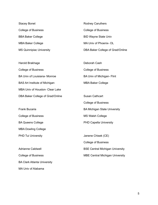Stacey Bonet College of Business BBA Baker College MBA Baker College MS Quinnipiac University Rodney Caruthers College of Business BID Wayne State Univ MA Univ of Phoenix- OL DBA Baker College of Grad/Online

Harold Brakhage College of Business BA Univ of Louisiana- Monroe BAS Art Institute of Michigan MBA Univ of Houston- Clear Lake DBA Baker College of Grad/Online Deborah Cash College of Business BA Univ of Michigan- Flint MBA Baker College Susan Cathcart

Frank Bucaria College of Business BA Queens College MBA Dowling College PHD Tui University

Adrianne Caldwell College of Business BA Clark Atlanta University MA Univ of Alabama

College of Business BA Michigan State University MS Walsh College PHD Capella University

Janene Chisek (CE) College of Business BSE Central Michigan University MBE Central Michigan University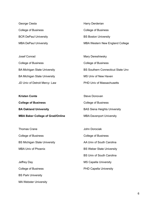George Ciesla College of Business BCR DePaul University MBA DePaul University

Josef Conrad College of Business BA Michigan State University BA Michigan State University JD Univ of Detroit Mercy- Law

MA Webster University

College of Business BS Boston University MBA Western New England College

Harry Derderian

Mary Dereshiwsky College of Business BS Southern Connecticut State Unv MS Univ of New Haven PHD Univ of Massachusetts

| Kristen Conte                           | Steve Donovan                       |
|-----------------------------------------|-------------------------------------|
| <b>College of Business</b>              | <b>College of Business</b>          |
| <b>BA Oakland University</b>            | <b>BAS Siena Heights University</b> |
| <b>MBA Baker College of Grad/Online</b> | <b>MBA Davenport University</b>     |

Thomas Crane College of Business BS Michigan State University MBA Univ of Phoenix Jeffrey Day College of Business BS Park University John Dorociak College of Business AA Univ of South Carolina BS Weber State University BS Univ of South Carolina MS Capella University PHD Capella University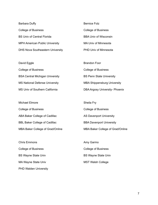| Barbara Duffy                           | <b>Bernice Folz</b>          |
|-----------------------------------------|------------------------------|
| College of Business                     | <b>College of Business</b>   |
| <b>BS Univ of Central Florida</b>       | <b>BBA Univ of Wisconsin</b> |
| <b>MPH American Public University</b>   | <b>MA Univ of Minnesota</b>  |
| <b>DHS Nova Southeastern University</b> | <b>PHD Univ of Minnesota</b> |

| David Eggle                            | <b>Brandon Foor</b>                   |
|----------------------------------------|---------------------------------------|
| <b>College of Business</b>             | <b>College of Business</b>            |
| <b>BSA Central Michigan University</b> | <b>BS Penn State University</b>       |
| <b>MS National Defense University</b>  | <b>MBA Shippensburg University</b>    |
| MS Univ of Southern California         | <b>DBA Argosy University- Phoenix</b> |

| Michael Elmore                       | Sheila Fry                       |
|--------------------------------------|----------------------------------|
| College of Business                  | <b>College of Business</b>       |
| ABA Baker College of Cadillac        | <b>AS Davenport University</b>   |
| <b>BBL Baker College of Cadillac</b> | <b>BBA Davenport University</b>  |
| MBA Baker College of Grad/Online     | MBA Baker College of Grad/Online |

Chris Emmons College of Business BS Wayne State Univ MA Wayne State Univ PHD Walden University Amy Garmo College of Business BS Wayne State Univ MST Walsh College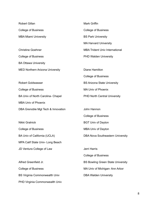| <b>Robert Gillan</b>                   | <b>Mark Griffin</b>                      |
|----------------------------------------|------------------------------------------|
| <b>College of Business</b>             | <b>College of Business</b>               |
| <b>MBA Miami University</b>            | <b>BS Park University</b>                |
|                                        | <b>MA Harvard University</b>             |
| <b>Christine Goehner</b>               | <b>MBA Trident Univ International</b>    |
| <b>College of Business</b>             | PHD Walden University                    |
| <b>BA Ottawa University</b>            |                                          |
| <b>MED Northern Arizona University</b> | Diane Hamilton                           |
|                                        | <b>College of Business</b>               |
| <b>Robert Goldwasser</b>               | <b>BS Arizona State University</b>       |
| <b>College of Business</b>             | <b>MA Univ of Phoenix</b>                |
| BA Univ of North Carolina- Chapel      | <b>PHD North Central University</b>      |
| <b>MBA Univ of Phoenix</b>             |                                          |
| DBA Grenoble Mgt Tech & Innovation     | John Hannon                              |
|                                        | <b>College of Business</b>               |
| Nikki Gralnick                         | <b>BGT Univ of Dayton</b>                |
| <b>College of Business</b>             | <b>MBA Univ of Dayton</b>                |
| BA Univ of California (UCLA)           | DBA Nova Southeastern University         |
| MPA Calif State Univ- Long Beach       |                                          |
| JD Ventura College of Law              | Jerri Harris                             |
|                                        | <b>College of Business</b>               |
| Alfred Greenfield Jr.                  | <b>BS Bowling Green State University</b> |
| <b>College of Business</b>             | MA Univ of Michigan-Ann Arbor            |
| <b>BS Virginia Commonwealth Univ</b>   | <b>DBA Walden University</b>             |
| PHD Virginia Commonwealth Univ         |                                          |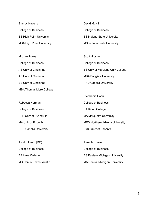Brandy Havens College of Business BS High Point University MBA High Point University

Michael Haws College of Business AS Univ of Cincinnati AS Univ of Cincinnati BS Univ of Cincinnati MBA Thomas More College

Rebecca Herman College of Business BSB Univ of Evansville MA Univ of Phoenix PHD Capella University

Todd Hildreth (DC) College of Business BA Alma College MS Univ of Texas- Austin David M. Hill College of Business BS Indiana State University MS Indiana State University

Scott Hipsher College of Business BS Univ of Maryland Univ College MBA Bangkok University PHD Capella University

Stephanie Hoon College of Business BA Ripon College MA Marquette University MED Northern Arizona University DMG Univ of Phoenix

Joseph Hoover College of Business BS Eastern Michigan University MA Central Michigan University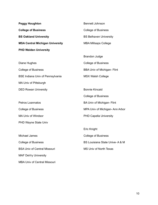| <b>Peggy Houghton</b>                  | <b>Bennett Johnson</b>        |
|----------------------------------------|-------------------------------|
| <b>College of Business</b>             | College of Business           |
| <b>BS Oakland University</b>           | <b>BS Belhaven University</b> |
| <b>MSA Central Michigan University</b> | <b>MBA Millsaps College</b>   |
| <b>PHD Walden University</b>           |                               |
|                                        | Brandon Judge                 |

| Diane Hughes                            |
|-----------------------------------------|
| <b>College of Business</b>              |
| <b>BSE Indiana Univ of Pennsylvania</b> |
| MA Univ of Pittsburgh                   |
| <b>DED Rowan University</b>             |

Petros Loannatos College of Business MA Univ of Windsor PHD Wayne State Univ

Michael James College of Business BSA Univ of Central Missouri MAF DeVry University MBA Univ of Central Missouri

College of Business BBA Univ of Michigan- Flint MSX Walsh College

Bonnie Kincaid College of Business BA Univ of Michigan- Flint MPA Univ of Michigan- Ann Arbor PHD Capella University

Eric Knight College of Business BS Louisiana State Unive- A & M MS Univ of North Texas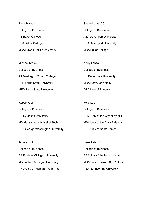| Joseph Koss                          | Susan Lang (DC)                 |
|--------------------------------------|---------------------------------|
| <b>College of Business</b>           | <b>College of Business</b>      |
| AB Baker College                     | <b>ABA Davenport University</b> |
| <b>BBA Baker College</b>             | <b>BBA Davenport University</b> |
| <b>MBA Hawaii Pacific University</b> | <b>MBA Baker College</b>        |

| Michael Kraley                     | Kerry Lanza                     |
|------------------------------------|---------------------------------|
| <b>College of Business</b>         | <b>College of Business</b>      |
| AA Muskegon Comm College           | <b>BS Penn State University</b> |
| <b>BSB Ferris State University</b> | <b>MBA DeVry University</b>     |
| <b>MED Ferris State University</b> | DBA Univ of Phoenix             |

| <b>Robert Krell</b>              | Felix Lao                      |
|----------------------------------|--------------------------------|
| <b>College of Business</b>       | <b>College of Business</b>     |
| <b>BS Syracuse University</b>    | BBM Univ of the City of Manila |
| MS Massachusetts Inst of Tech    | MBA Univ of the City of Manila |
| DBA George Washington University | PHD Univ of Santo Tomas        |

James Krolik College of Business BS Eastern Michigan University MA Eastern Michigan University PHD Univ of Michigan- Ann Arbor

Dana Leland College of Business BBA Univ of the Incarnate Word MBA Univ of Texas- San Antonio PBA Northcentral University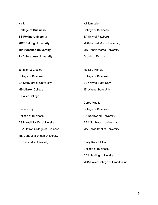| Na Li                                  | William Lyle                        |
|----------------------------------------|-------------------------------------|
| <b>College of Business</b>             | <b>College of Business</b>          |
| <b>BS Peking University</b>            | <b>BA Univ of Pittsburgh</b>        |
| <b>MGT Peking University</b>           | <b>MBA Robert Morris University</b> |
| <b>MP Syracuse University</b>          | <b>MS Robert Morris University</b>  |
| <b>PHD Syracuse University</b>         | D Univ of Florida                   |
|                                        |                                     |
| Jennifer LoGiudice                     | Melissa Manela                      |
| <b>College of Business</b>             | <b>College of Business</b>          |
| <b>BA Stony Brook University</b>       | <b>BS Wayne State Univ</b>          |
| <b>MBA Baker College</b>               | JD Wayne State Univ                 |
| D Baker College                        |                                     |
|                                        | <b>Corey Mathis</b>                 |
| Pamela Loyd                            | <b>College of Business</b>          |
| <b>College of Business</b>             | AA Northwood University             |
| AS Hawaii Pacific University           | <b>BBA Northwood University</b>     |
| <b>BBA Detroit College of Business</b> | <b>MA Dallas Baptist University</b> |
| <b>MS Central Michigan University</b>  |                                     |
| <b>PHD Capella University</b>          | Emily Kalai McHan                   |

College of Business

BBA Harding University

MBA Baker College of Grad/Online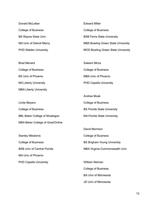Donald McLellan College of Business BS Wayne State Univ MA Univ of Detroit Mercy PHD Walden University

Brad Menard College of Business BS Univ of Phoenix MA Liberty University MBA Liberty University

Linda Meyers College of Business BBL Baker College of Muskegon MBA Baker College of Grad/Online

Stanley Mikalonis College of Business BSB Univ of Central Florida MA Univ of Phoenix PHD Capella University

Edward Miller College of Business BSB Ferris State University MBA Bowling Green State University MOD Bowling Green State University

Saleem Mirza College of Business MBA Univ of Phoenix PHD Capella University

Andrea Moak College of Business BS Florida State University MA Florida State University

David Morrison College of Business BS Brigham Young University MBA Virginia Commonwealth Univ

William Neiman College of Business BA Univ of Minnesota JD Univ of Minnesota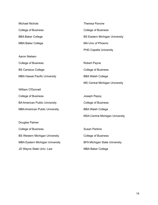| <b>Michael Nichols</b>                | <b>Theresa Pavone</b>                  |
|---------------------------------------|----------------------------------------|
| <b>College of Business</b>            | <b>College of Business</b>             |
| <b>BBA Baker College</b>              | <b>BS Eastern Michigan University</b>  |
| <b>MBA Baker College</b>              | <b>MA Univ of Phoenix</b>              |
|                                       | <b>PHD Capella University</b>          |
| <b>Aaron Nielsen</b>                  |                                        |
| <b>College of Business</b>            | <b>Robert Payne</b>                    |
| <b>BS Canisius College</b>            | <b>College of Business</b>             |
| <b>MBA Hawaii Pacific University</b>  | <b>BBA Walsh College</b>               |
|                                       | <b>MS Central Michigan University</b>  |
| <b>William O'Donnell</b>              |                                        |
| <b>College of Business</b>            | Joseph Pepoy                           |
| <b>BA American Public University</b>  | <b>College of Business</b>             |
| <b>MBA American Public University</b> | <b>BBA Walsh College</b>               |
|                                       | <b>MSA Central Michigan University</b> |
| Douglas Palmer                        |                                        |
| <b>College of Business</b>            | <b>Susan Perkins</b>                   |

BS Western Michigan University MBA Eastern Michigan University JD Wayne State Univ- Law

College of Business BFA Michigan State University MBA Baker College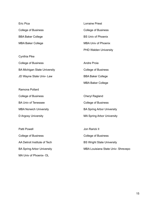| Eric Pica                           | Lorraine Priest              |
|-------------------------------------|------------------------------|
| <b>College of Business</b>          | <b>College of Business</b>   |
| <b>BBA Baker College</b>            | <b>BS Univ of Phoenix</b>    |
| <b>MBA Baker College</b>            | <b>MBA Univ of Phoenix</b>   |
|                                     | <b>PHD Walden University</b> |
| Cynthia Pike                        |                              |
| <b>College of Business</b>          | Andre Proia                  |
| <b>BA Michigan State University</b> | <b>College of Business</b>   |
| JD Wayne State Univ- Law            | <b>BBA Baker College</b>     |
|                                     | <b>MBA Baker College</b>     |
| Ramona Pollard                      |                              |
| <b>College of Business</b>          | Cheryl Ragland               |
| <b>BA Univ of Tenessee</b>          | <b>College of Business</b>   |
|                                     |                              |

MBA Norwich University D Argosy University BA Spring Arbor University MA Spring Arbor University

Patti Powell College of Business AA Detroit Institute of Tech BA Spring Arbor University MA Univ of Phoenix- OL

Jon Rarick II College of Business BS Wright State University MBA Louisiana State Univ- Shrevepo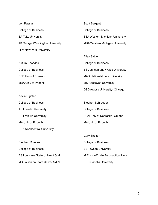| Lori Rassas                            |
|----------------------------------------|
| College of Business                    |
| <b>BA Tufts University</b>             |
| <b>JD George Washington University</b> |
| <b>LLM New York University</b>         |

Autum Rhoades College of Business BSB Univ of Phoenix MBA Univ of Phoenix

- Kevin Righter
- College of Business AS Franklin University BS Franklin University MA Univ of Phoenix DBA Northcentral University

Stephen Rosales College of Business BS Louisiana State Unive- A & M MS Louisiana State Unive- A & M Scott Sargent College of Business BBA Western Michigan University MBA Western Michigan University

Alisa Sattler College of Business BS Johnson and Wales University MAD National-Louis University MS Roosevelt University DED Argosy University- Chicago

Stephen Schroeder College of Business BGN Univ of Nebraska- Omaha MA Univ of Phoenix

Gary Shelton College of Business BS Towson University M Embry-Riddle Aeronautical Univ PHD Capella University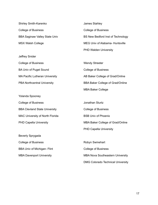Shirley Smith-Karenko College of Business BBA Saginaw Valley State Univ MSX Walsh College

Jeffrey Snider College of Business BA Univ of Puget Sound MA Pacific Lutheran University PBA Northcentral University

Yolanda Spooney College of Business BBA Clevland State University MAC University of North Florida PHD Capella University

Beverly Sprygada College of Business BBA Univ of Michigan- Flint MBA Davenport University

James Stahley College of Business BS New Bedford Inst of Technology MEG Univ of Alabama- Huntsville PHD Walden University

Wendy Streeter College of Business AB Baker College of Grad/Online BBA Baker College of Grad/Online MBA Baker College

Jonathan Sturtz College of Business BSB Univ of Phoenix MBA Baker College of Grad/Online PHD Capella University

Robyn Swinehart College of Business MBA Nova Southeastern University DMG Colorado Technical University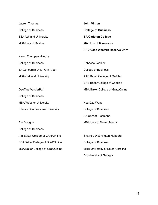| Lauren Thomas                           | <b>John Vinton</b>                   |
|-----------------------------------------|--------------------------------------|
| <b>College of Business</b>              | <b>College of Business</b>           |
| <b>BSA Ashland University</b>           | <b>BA Carleton College</b>           |
| <b>MBA Univ of Dayton</b>               | <b>MA Univ of Minnesota</b>          |
|                                         | <b>PHD Case Western Reserve Univ</b> |
| Karen Thompson-Hooks                    |                                      |
| <b>College of Business</b>              | Rebecca Voelker                      |
| BA Concordia Univ-Ann Arbor             | <b>College of Business</b>           |
| <b>MBA Oakland University</b>           | AAS Baker College of Cadillac        |
|                                         | <b>BHS Baker College of Cadillac</b> |
| Geoffrey VanderPal                      | MBA Baker College of Grad/Online     |
| <b>College of Business</b>              |                                      |
| <b>MBA Webster University</b>           | Hsu Dze Wang                         |
| D Nova Southeastern University          | <b>College of Business</b>           |
|                                         | <b>BA Univ of Richmond</b>           |
| Ann Vaughn                              | <b>MBA Univ of Detroit Mercy</b>     |
| <b>College of Business</b>              |                                      |
| AIB Baker College of Grad/Online        | Shatrela Washington-Hubbard          |
| <b>BBA Baker College of Grad/Online</b> | <b>College of Business</b>           |
| MBA Baker College of Grad/Online        | MHR University of South Carolina     |
|                                         | D University of Georgia              |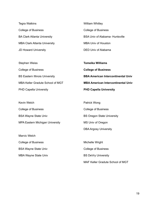| Tegra Watkins                | <b>William Whitley</b>                 |
|------------------------------|----------------------------------------|
| College of Business          | <b>College of Business</b>             |
| BA Clark Atlanta University  | <b>BSA Univ of Alabama- Huntsville</b> |
| MBA Clark Atlanta University | <b>MBA Univ of Houston</b>             |
| <b>JD Howard University</b>  | <b>DED Univ of Alabama</b>             |

| Stephen Weiss                         | <b>Tomeika Williams</b>                   |
|---------------------------------------|-------------------------------------------|
| College of Business                   | <b>College of Business</b>                |
| <b>BS Eastern Illinois University</b> | <b>BBA American Intercontinental Univ</b> |
| MBA Keller Gradute School of MGT      | <b>MBA American Intercontinental Univ</b> |
| <b>PHD Capella University</b>         | <b>PHD Capella University</b>             |

| Kevin Welch                     | Patrick Wong                      |
|---------------------------------|-----------------------------------|
| College of Business             | <b>College of Business</b>        |
| <b>BSA Wayne State Univ</b>     | <b>BS Oregon State University</b> |
| MPA Eastern Michigan University | MS Univ of Oregon                 |
|                                 | <b>DBA Argosy University</b>      |

Marvic Welch College of Business BSA Wayne State Univ MBA Wayne State Univ

Michelle Wright College of Business BS DeVry University MAF Keller Gradute School of MGT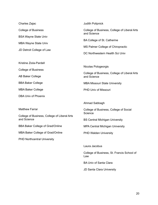| Charles Zajac                                            | <b>Judith Polipnick</b>                                     |
|----------------------------------------------------------|-------------------------------------------------------------|
| <b>College of Business</b>                               | College of Business, College of Liberal Arts                |
| <b>BSA Wayne State Univ</b>                              | and Science                                                 |
| <b>MBA Wayne State Univ</b><br>JD Detroit College of Law | BA College of St. Catherine                                 |
|                                                          | MS Palmer College of Chiropractic                           |
|                                                          | DC Northwestern Health Sci Univ                             |
| Kristine Ziola-Pardell                                   |                                                             |
| <b>College of Business</b>                               | Nicolas Pologeorgis                                         |
| <b>AB Baker College</b>                                  | College of Business, College of Liberal Arts<br>and Science |
| <b>BBA Baker College</b>                                 | <b>MBA Missouri State University</b>                        |
| <b>MBA Baker College</b>                                 | PHD Univ of Missouri                                        |
| <b>DBA Univ of Phoenix</b>                               |                                                             |
|                                                          | Ahmad Sabbagh                                               |
| <b>Matthew Farrar</b>                                    | College of Business, College of Social                      |
| College of Business, College of Liberal Arts             | Science                                                     |
| and Science                                              | <b>BS Central Michigan University</b>                       |
| <b>BBA Baker College of Grad/Online</b>                  | <b>MPA Central Michigan University</b>                      |
| MBA Baker College of Grad/Online                         | <b>PHD Walden University</b>                                |
| <b>PHD Northcentral University</b>                       |                                                             |
|                                                          | Laura Jacobus                                               |
|                                                          | College of Business, St. Francis School of<br>Law           |
|                                                          | <b>BA Univ of Santa Clara</b>                               |

JD Santa Clara University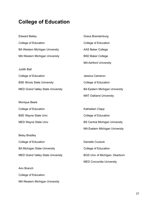## **College of Education**

| <b>Edward Bailey</b>                     | Grace Brandenburg                     |
|------------------------------------------|---------------------------------------|
| <b>College of Education</b>              | <b>College of Education</b>           |
| <b>BA Western Michigan University</b>    | <b>AAS Baker College</b>              |
| <b>MA Western Michigan University</b>    | <b>BSD Baker College</b>              |
|                                          | <b>MA Ashford University</b>          |
| <b>Judith Ball</b>                       |                                       |
| <b>College of Education</b>              | Jessica Cameron                       |
| <b>BSE Illinois State University</b>     | College of Education                  |
| <b>MED Grand Valley State University</b> | <b>BA Eastern Michigan University</b> |
|                                          | <b>MAT Oakland University</b>         |
| <b>Monique Beels</b>                     |                                       |
| <b>College of Education</b>              | Kathaleen Clapp                       |
| <b>BSE Wayne State Univ</b>              | <b>College of Education</b>           |
| <b>MED Wayne State Univ</b>              | <b>BS Central Michigan University</b> |
|                                          | <b>MA Eastern Michigan University</b> |
| <b>Betsy Bradley</b>                     |                                       |
| College of Education                     | <b>Danielle Couture</b>               |
| <b>BA Michigan State University</b>      | College of Education                  |
| <b>MED Grand Valley State University</b> | <b>BGS Univ of Michigan- Dearborn</b> |
|                                          | <b>MED Concordia University</b>       |
| Ann Branch                               |                                       |
| <b>College of Education</b>              |                                       |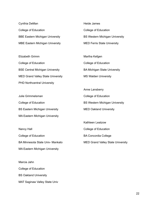Cynthia DeMan College of Education BBE Eastern Michigan University MBE Eastern Michigan University

Elizabeth Grimm College of Education BSE Central Michigan University MED Grand Valley State University PHD Northcentral University

Julie Grimmelsman College of Education BS Eastern Michigan University MA Eastern Michigan University

Nancy Hall College of Education BA Minnesota State Univ- Mankato MA Eastern Michigan University

Marcia Jahn College of Education BS Oakland University MAT Saginaw Valley State Univ Heide James College of Education BS Western Michigan University MED Ferris State University

Martha Kefgen College of Education BA Michigan State University MS Walden University

Anne Lansberry College of Education BS Western Michigan University MED Oakland University

Kathleen Leatzow College of Education BA Concordia College MED Grand Valley State University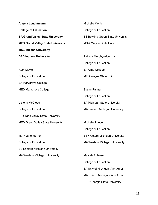| Angela Leuchtmann                        | <b>Michelle Mertic</b>                   |
|------------------------------------------|------------------------------------------|
| <b>College of Education</b>              | <b>College of Education</b>              |
| <b>BA Grand Valley State University</b>  | <b>BS Bowling Green State University</b> |
| <b>MED Grand Valley State University</b> | <b>MSW Wayne State Univ</b>              |
| <b>MSE Indiana University</b>            |                                          |
| <b>DED Indiana University</b>            | Patricia Murphy-Alderman                 |
|                                          | <b>College of Education</b>              |
| <b>Ruth Mavis</b>                        | <b>BA Alma College</b>                   |
| <b>College of Education</b>              | <b>MED Wayne State Univ</b>              |
| <b>BA Marygrove College</b>              |                                          |
| <b>MED Marygrove College</b>             | <b>Susan Palmer</b>                      |
|                                          | <b>College of Education</b>              |
| Victoria McClees                         | <b>BA Michigan State University</b>      |
| <b>College of Education</b>              | <b>MA Eastern Michigan University</b>    |
| <b>BS Grand Valley State University</b>  |                                          |
| <b>MED Grand Valley State University</b> | <b>Michelle Prince</b>                   |
|                                          | <b>College of Education</b>              |
| Mary Jane Merren                         | <b>BS Western Michigan University</b>    |
| <b>College of Education</b>              | <b>MA Western Michigan University</b>    |
| <b>BS Eastern Michigan University</b>    |                                          |
| <b>MA Western Michigan University</b>    | Maisah Robinson                          |
|                                          | College of Education                     |
|                                          | BA Univ of Michigan-Ann Arbor            |

MA Univ of Michigan- Ann Arbor

PHD Georgia State University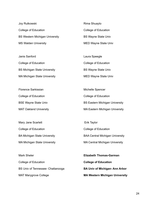| Joy Rutkowski                         | Rima Shuayto               |
|---------------------------------------|----------------------------|
| College of Education                  | College of Education       |
| <b>BS Western Michigan University</b> | <b>BS Wayne State Univ</b> |
| <b>MS Walden University</b>           | MED Wayne State Univ       |

| Janis Sanford                       | Laura Speegle              |
|-------------------------------------|----------------------------|
| College of Education                | College of Education       |
| <b>BS Michigan State University</b> | <b>BS Wayne State Univ</b> |
| <b>MA Michigan State University</b> | MED Wayne State Univ       |

| Florence Sarkissian           | Michelle Spencer                      |
|-------------------------------|---------------------------------------|
| College of Education          | College of Education                  |
| <b>BSE Wayne State Univ</b>   | <b>BS Eastern Michigan University</b> |
| <b>MAT Oakland University</b> | <b>MA Eastern Michigan University</b> |

| Mary Jane Scarlett                  | Erik Taylor                            |
|-------------------------------------|----------------------------------------|
| College of Education                | College of Education                   |
| <b>BA Michigan State University</b> | <b>BAA Central Michigan University</b> |
| <b>MA Michigan State University</b> | <b>MA Central Michigan University</b>  |

| Mark Sheler                       | <b>Elizabeth Thomas-Garman</b>        |
|-----------------------------------|---------------------------------------|
| College of Education              | <b>College of Education</b>           |
| BS Univ of Tennessee- Chattanooga | <b>BA Univ of Michigan-Ann Arbor</b>  |
| <b>MAT Marygrove College</b>      | <b>MA Western Michigan University</b> |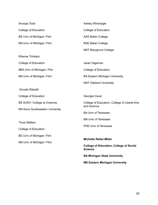| Anoopa Todd                            | Ashley Windnagle                               |
|----------------------------------------|------------------------------------------------|
| College of Education                   | <b>College of Education</b>                    |
| <b>BS Univ of Michigan- Flint</b>      | <b>AAS Baker College</b>                       |
| MA Univ of Michigan- Flint             | <b>BSE Baker College</b>                       |
|                                        | <b>MAT Marygrove College</b>                   |
| <b>Ritanne Trinklein</b>               |                                                |
| College of Education                   | Janet Yageman                                  |
| <b>BBA Univ of Michigan- Flint</b>     | College of Education                           |
| MA Univ of Michigan- Flint             | <b>BA Eastern Michigan University</b>          |
|                                        | <b>MAT Oakland University</b>                  |
| Donald Walrath                         |                                                |
| College of Education                   | Georgia Caver                                  |
| <b>BS SUNY- College at Oneonta</b>     | College of Education, College of Liberal Arts  |
| <b>MA Nova Southeastern University</b> | and Science                                    |
|                                        | <b>BA Univ of Tenessee</b>                     |
| <b>Tricia Walters</b>                  | <b>MA Univ of Tenessee</b>                     |
|                                        | <b>PHD Univ of Tenessee</b>                    |
| College of Education                   |                                                |
| <b>BS Univ of Michigan- Flint</b>      | <b>Michelle Reiter-Miller</b>                  |
| MA Univ of Michigan- Flint             | <b>College of Education, College of Social</b> |
|                                        | <b>Science</b>                                 |
|                                        | <b>BA Michigan State University</b>            |
|                                        | <b>MS Eastern Michigan University</b>          |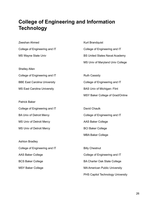#### **College of Engineering and Information Technology**

| Zeeshan Ahmed                       | Kurt Brandquist                       |
|-------------------------------------|---------------------------------------|
| College of Engineering and IT       | College of Engineering and IT         |
| MS Wayne State Univ                 | <b>BS United States Naval Academy</b> |
|                                     | MS Univ of Maryland Univ College      |
| <b>Shelley Allen</b>                |                                       |
| College of Engineering and IT       | <b>Ruth Cassidy</b>                   |
| <b>BBE East Carolina University</b> | College of Engineering and IT         |
| <b>MS East Carolina University</b>  | <b>BAS Univ of Michigan- Flint</b>    |
|                                     | MSY Baker College of Grad/Online      |
| <b>Patrick Baker</b>                |                                       |
| College of Engineering and IT       | David Chaulk                          |
| <b>BA Univ of Detroit Mercy</b>     | College of Engineering and IT         |
| <b>MS Univ of Detroit Mercy</b>     | <b>AAS Baker College</b>              |
| <b>MS Univ of Detroit Mercy</b>     | <b>BCI Baker College</b>              |
|                                     | <b>MBA Baker College</b>              |
| Ashton Bradley                      |                                       |
| College of Engineering and IT       | <b>Billy Chestnut</b>                 |
| <b>AAS Baker College</b>            | College of Engineering and IT         |
| <b>BCS Baker College</b>            | <b>BA Charter Oak State College</b>   |
| <b>MSY Baker College</b>            | <b>MA American Public University</b>  |
|                                     | PHS Capitol Technology University     |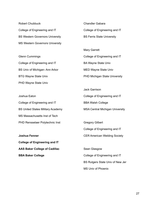Robert Chubbuck College of Engineering and IT BS Western Governors University MS Western Governors University

Glenn Cummings College of Engineering and IT BS Univ of Michigan- Ann Arbor BTG Wayne State Univ PHD Wayne State Univ

Joshua Eaton College of Engineering and IT BS United States Military Academy MS Massachusetts Inst of Tech PHD Rensselaer Polytechnic Inst

**Joshua Fenner College of Engineering and IT AAS Baker College of Cadillac BBA Baker College**

Chandler Gabara College of Engineering and IT BS Ferris State University

Mary Garrett College of Engineering and IT BA Wayne State Univ MED Wayne State Univ PHD Michigan State University

Jack Garrison College of Engineering and IT BBA Walsh College MSA Central Michigan University

Gregory Gilbert College of Engineering and IT CER American Welding Society

Sean Glasgow College of Engineering and IT BS Rutgers State Univ of New Jer MS Univ of Phoenix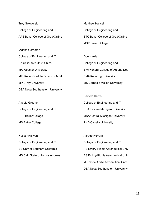Troy Goloversic College of Engineering and IT AAS Baker College of Grad/Online

Adolfo Gorriaran College of Engineering and IT BA Calif State Univ- Chico MA Webster University MIS Keller Gradute School of MGT MPA Troy University DBA Nova Southeastern University

Angela Greene College of Engineering and IT BCS Baker College MS Baker College

Nasser Halwani College of Engineering and IT BS Univ of Southern California MS Calif State Univ- Los Angeles Matthew Hansel College of Engineering and IT BTC Baker College of Grad/Online MSY Baker College

Don Harris College of Engineering and IT BFA Kendall College of Art and Des BMA Kettering University MS Carnegie Mellon University

Pamela Harris College of Engineering and IT BBA Eastern Michigan University MSA Central Michigan University PHD Capella University

Alfredo Herrera College of Engineering and IT AS Embry-Riddle Aeronautical Univ BS Embry-Riddle Aeronautical Univ M Embry-Riddle Aeronautical Univ DBA Nova Southeastern University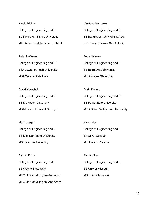Nicole Hickland College of Engineering and IT BGS Northern Illinois University MIS Keller Gradute School of MGT

Peter Hoffmann College of Engineering and IT BSA Lawrence Tech University MBA Wayne State Univ

David Horachek College of Engineering and IT BS McMaster University MBA Univ of Illinois at Chicago

Mark Jaeger College of Engineering and IT BS Michigan State University MS Syracuse University

Ayman Kana College of Engineering and IT BS Wayne State Univ MEG Univ of Michigan- Ann Arbor MEG Univ of Michigan- Ann Arbor

Amitava Karmaker College of Engineering and IT BS Bangladesh Univ of Eng/Tech PHD Univ of Texas- San Antonio

Fouad Kazma College of Engineering and IT BE Beirut Arab University MED Wayne State Univ

Darin Kearns College of Engineering and IT BS Ferris State University MED Grand Valley State University

Nick Leiby College of Engineering and IT BA Olivet College MIF Univ of Phoenix

Richard Lesh College of Engineering and IT BS Univ of Missouri MS Univ of Missouri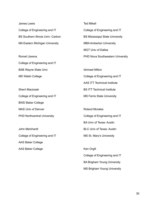James Lewis College of Engineering and IT BS Southern Illinois Univ- Carbon MA Eastern Michigan University

Romel Llarena College of Engineering and IT BAB Wayne State Univ MS Walsh College

Sherri Maciosek College of Engineering and IT BWD Baker College MAS Univ of Denver PHD Northcentral University

John Meinhardt College of Engineering and IT AAS Baker College AAS Baker College

Ted Mikell College of Engineering and IT BS Mississippi State University MBA Amberton University MGT Univ of Dallas PHD Nova Southeastern University

Ishmael Milton College of Engineering and IT AAS ITT Technical Institute BS ITT Technical Institute MS Ferris State University

Roland Morales College of Engineering and IT BA Univ of Texas- Austin BLC Univ of Texas- Austin MS St. Mary's University

Ken Orgill College of Engineering and IT BA Brigham Young University MS Brigham Young University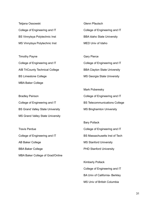Tetjana Ossowski College of Engineering and IT BS Vinnytsya Polytechnic Inst MS Vinnytsya Polytechnic Inst

Timothy Payne College of Engineering and IT AIB TriCounty Technical College BS Limestone College MBA Baker College

Bradley Peirson College of Engineering and IT BS Grand Valley State University MS Grand Valley State University

Travis Perdue College of Engineering and IT AB Baker College BBA Baker College MBA Baker College of Grad/Online Glenn Pfautsch College of Engineering and IT BBA Idaho State University MED Univ of Idaho

Gary Pierce College of Engineering and IT BBA Clayton State University MS Georgia State University

Mark Poberesky College of Engineering and IT BS Telecommunications College MS Binghamton University

Bary Pollack College of Engineering and IT BS Massachusetts Inst of Tech MS Stanford University PHD Stanford University

Kimberly Pollack College of Engineering and IT BA Univ of California- Berkley MS Univ of British Columbia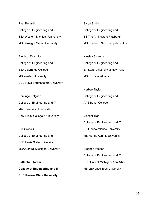Paul Renaldi College of Engineering and IT BBA Western Michigan University MS Carnegie Mellon University

Stephan Reynolds College of Engineering and IT BBA LaGrange College MS Walden University DED Nova Southeastern University

Domingo Salgado College of Engineering and IT MA University of Leicester PhD Trinity College & University

Eric Sawicki College of Engineering and IT BSB Ferris State University MBA Central Michigan University

**Pattabhi Sitaram College of Engineering and IT PHD Kansas State University**

Byron Smith College of Engineering and IT BS The Art Institute Pittsburgh MS Southern New Hampshire Univ

Wesley Sweetser College of Engineering and IT BA State University of New York MS SUNY at Albany

Herbert Taylor College of Engineering and IT AAS Baker College

Vincent Tran College of Engineering and IT BS Florida Atlantic University MS Florida Atlantic University

Stephen Vachon College of Engineering and IT BSR Univ of Michigan- Ann Arbor MS Lawrence Tech University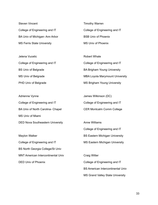Steven Vincent College of Engineering and IT BA Univ of Michigan- Ann Arbor MS Ferris State University

Jelena Vucetic College of Engineering and IT BS Univ of Belgrade MS Univ of Belgrade PHD Univ of Belgrade

Adrienne Vynne College of Engineering and IT BA Univ of North Carolina- Chapel MS Univ of Miami DED Nova Southeastern University

Maylon Walker College of Engineering and IT BS North Georgia College/St Univ MNT American Intercontinental Univ DED Univ of Phoenix

Timothy Warren College of Engineering and IT BSB Univ of Phoenix MS Univ of Phoenix

Robert Whale College of Engineering and IT BA Brigham Young University MBA Loyola Marymount University MS Brigham Young University

James Wilkinson (DC) College of Engineering and IT CER Montcalm Comm College

Anne Williams College of Engineering and IT BS Eastern Michigan University MS Eastern Michigan University

Craig Witter College of Engineering and IT BS American Intercontinental Univ MS Grand Valley State University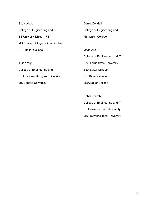Scott Wood College of Engineering and IT BS Univ of Michigan- Flint MSY Baker College of Grad/Online DBA Baker College

Julie Wright College of Engineering and IT BBA Eastern Michigan University MS Capella University

Daniel Zendell College of Engineering and IT MS Walsh College

Joan Zito College of Engineering and IT AAS Ferris State University BBA Baker College BCI Baker College MBA Baker College

Nabih Zourob College of Engineering and IT BS Lawrence Tech University MS Lawrence Tech University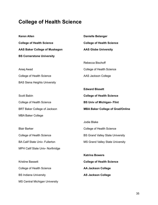## **College of Health Science**

MS Central Michigan University

| <b>Keren Allen</b>                    | <b>Danielle Belanger</b>                |
|---------------------------------------|-----------------------------------------|
| <b>College of Health Science</b>      | <b>College of Health Science</b>        |
| <b>AAS Baker College of Muskegon</b>  | <b>AAS Globe University</b>             |
| <b>BS Cornerstone University</b>      |                                         |
|                                       | Rebecca Bischoff                        |
| Areej Awad                            | <b>College of Health Science</b>        |
| <b>College of Health Science</b>      | AAS Jackson College                     |
| <b>BAS Siena Heights University</b>   |                                         |
|                                       | <b>Edward Bissett</b>                   |
| <b>Scott Babin</b>                    | <b>College of Health Science</b>        |
| <b>College of Health Science</b>      | <b>BS Univ of Michigan- Flint</b>       |
| BRT Baker College of Jackson          | <b>MBA Baker College of Grad/Online</b> |
|                                       |                                         |
| <b>MBA Baker College</b>              |                                         |
|                                       | Jodie Blake                             |
| <b>Blair Barker</b>                   | <b>College of Health Science</b>        |
| <b>College of Health Science</b>      | <b>BS Grand Valley State University</b> |
| <b>BA Calif State Univ- Fullerton</b> | <b>MS Grand Valley State University</b> |
| MPH Calif State Univ- Northridge      |                                         |
|                                       | <b>Katrina Bowers</b>                   |
| <b>Kristine Bassett</b>               | <b>College of Health Science</b>        |
| <b>College of Health Science</b>      | <b>AA Jackson College</b>               |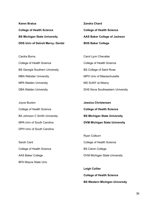| <b>Karen Bratus</b>                      | <b>Zandra Chard</b>              |
|------------------------------------------|----------------------------------|
| <b>College of Health Science</b>         | <b>College of Health Science</b> |
| <b>BS Michigan State University</b>      | AAS Baker College of Jackson     |
| <b>DDS Univ of Detroit Mercy- Dental</b> | <b>BHS Baker College</b>         |

Cardra Burns College of Health Science BS Georgia Southern University MBA Webster University MPA Walden University DBA Walden University

Joyce Buxton College of Health Science BA Johnson C Smith University MPA Univ of South Carolina DPH Univ of South Carolina

Sarah Card College of Health Science AAS Baker College BFA Wayne State Univ

Carol Lynn Chevalier College of Health Science BS College of Saint Rose MPH Univ of Massachusetts MS SUNY at Albany DHS Nova Southeastern University

**Jessica Christensen College of Health Science BS Michigan State University DVM Michigan State University**

Ryan Colburn College of Health Science BS Calvin College DVM Michigan State University

**Leigh Collier College of Health Science BS Western Michigan University**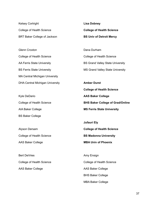Kelsey Cortright College of Health Science BRT Baker College of Jackson

Glenn Croxton College of Health Science AA Ferris State University BS Ferris State University MA Central Michigan University DHA Central Michigan University

Kyle DeDario College of Health Science AIA Baker College BS Baker College

Alyson Dersam College of Health Science AAS Baker College

Bert DeVries College of Health Science AAS Baker College

**Lisa Dobney College of Health Science BS Univ of Detroit Mercy**

Dana Durham College of Health Science BS Grand Valley State University MS Grand Valley State University

**Amber Durst College of Health Science AAS Baker College BHS Baker College of Grad/Online MS Ferris State University**

**Jufauri Ely College of Health Science BS Madonna University MBA Univ of Phoenix**

Amy Ensign College of Health Science AAS Baker College BHS Baker College MBA Baker College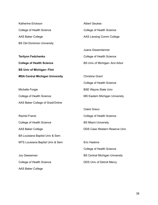| Katherine Erickson                     | <b>Albert Geukes</b>                  |
|----------------------------------------|---------------------------------------|
| College of Health Science              | College of Health Science             |
| <b>AAS Baker College</b>               | <b>AAS Lansing Comm College</b>       |
| <b>BS Old Dominion University</b>      |                                       |
|                                        | Juana Gissendanner                    |
| <b>Terilynn Fedchenko</b>              | <b>College of Health Science</b>      |
| <b>College of Health Science</b>       | BS Univ of Michigan-Ann Arbor         |
| <b>BS Univ of Michigan- Flint</b>      |                                       |
| <b>MSA Central Michigan University</b> | <b>Christine Grant</b>                |
|                                        | College of Health Science             |
| Michelle Forgie                        | <b>BSE Wayne State Univ</b>           |
| College of Health Science              | <b>MS Eastern Michigan University</b> |
| AAS Baker College of Grad/Online       |                                       |
|                                        | <b>Claire Greco</b>                   |
| <b>Rachel Frantz</b>                   | College of Health Science             |
| <b>College of Health Science</b>       | <b>BS Miami University</b>            |
| <b>AAS Baker College</b>               | <b>DDS Case Western Reserve Univ</b>  |
| BA Louisiana Baptist Univ & Sem        |                                       |
| MTS Louisiana Baptist Univ & Sem       | <b>Eric Haskins</b>                   |
|                                        | <b>College of Health Science</b>      |
| Joy Geeseman                           | <b>BS Central Michigan University</b> |
| <b>College of Health Science</b>       | <b>DDS Univ of Detroit Mercy</b>      |
| <b>AAS Baker College</b>               |                                       |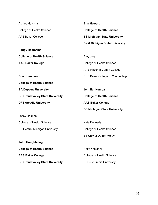| <b>Ashley Hawkins</b>                   | <b>Erin Howard</b>                   |
|-----------------------------------------|--------------------------------------|
| <b>College of Health Science</b>        | <b>College of Health Science</b>     |
| <b>AAS Baker College</b>                | <b>BS Michigan State University</b>  |
|                                         | <b>DVM Michigan State University</b> |
| <b>Peggy Heersema</b>                   |                                      |
| <b>College of Health Science</b>        | Amy Jury                             |
| <b>AAS Baker College</b>                | <b>College of Health Science</b>     |
|                                         | AAS Macomb Comm College              |
| <b>Scott Henderson</b>                  | BHS Baker College of Clinton Twp     |
| <b>College of Health Science</b>        |                                      |
| <b>BA Depauw University</b>             | Jennifer Kempa                       |
| <b>BS Grand Valley State University</b> | <b>College of Health Science</b>     |
| <b>DPT Arcadia University</b>           | <b>AAS Baker College</b>             |
|                                         | <b>BS Michigan State University</b>  |
| Lacey Holman                            |                                      |
| <b>College of Health Science</b>        | Kate Kennedy                         |
| <b>BS Central Michigan University</b>   | <b>College of Health Science</b>     |
|                                         | <b>BS Univ of Detroit Mercy</b>      |
| <b>John Houghtaling</b>                 |                                      |
| <b>College of Health Science</b>        | Holly Kholdani                       |
| <b>AAS Baker College</b>                | College of Health Science            |
| <b>BS Grand Valley State University</b> | <b>DDS Columbia University</b>       |
|                                         |                                      |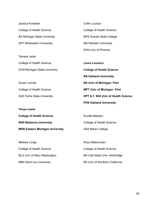| Jessica Kowalski                       | <b>Collin Louison</b>                  |
|----------------------------------------|----------------------------------------|
| <b>College of Health Science</b>       | <b>College of Health Science</b>       |
| <b>BS Michigan State University</b>    | <b>BPS Granite State College</b>       |
| <b>DPT Midwestern University</b>       | <b>MA Webster University</b>           |
|                                        | <b>DHA Univ of Phoenix</b>             |
| Tamara Labar                           |                                        |
| <b>College of Health Science</b>       | <b>Laura Lovasco</b>                   |
| DVM Michigan State University          | <b>College of Health Science</b>       |
|                                        | <b>BA Oakland University</b>           |
| Susan LeClair                          | <b>BS Univ of Michigan- Flint</b>      |
| College of Health Science              | <b>MPT Univ of Michigan- Flint</b>     |
| <b>AAS Ferris State University</b>     | DPT A.T. Still Univ of Health Science  |
|                                        | <b>PHS Oakland University</b>          |
| <b>Tanya Lewis</b>                     |                                        |
| <b>College of Health Science</b>       | Krystle Maddox                         |
| <b>BSN Madonna University</b>          | College of Health Science              |
| <b>MSN Eastern Michigan University</b> | <b>AAS Baker College</b>               |
|                                        |                                        |
| Melissa Longs                          | Roza Matevosian                        |
| College of Health Science              | <b>College of Health Science</b>       |
|                                        |                                        |
| <b>BLS Univ of Mary Washington</b>     | <b>BA Calif State Univ- Northridge</b> |

MBA Saint Leo University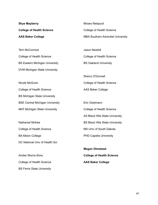| <b>Skye Mayberry</b>                   | Moses Nelapudi                           |
|----------------------------------------|------------------------------------------|
| <b>College of Health Science</b>       | <b>College of Health Science</b>         |
| <b>AAS Baker College</b>               | <b>MBA Southern Adventist University</b> |
|                                        |                                          |
| <b>Terri McCormick</b>                 | <b>Jason Newbill</b>                     |
| <b>College of Health Science</b>       | College of Health Science                |
| <b>BS Eastern Michigan University</b>  | <b>BS Oakland University</b>             |
| DVM Michigan State University          |                                          |
|                                        | <b>Sherry O'Donnell</b>                  |
| <b>Nicole McGuire</b>                  | <b>College of Health Science</b>         |
| <b>College of Health Science</b>       | <b>AAS Baker College</b>                 |
| <b>BS Michigan State University</b>    |                                          |
| <b>BSE Central Michigan University</b> | Eric Oestmann                            |
| <b>MAT Michigan State University</b>   | <b>College of Health Science</b>         |
|                                        | AS Black Hills State University          |
| <b>Nathanial McKee</b>                 | <b>BS Black Hills State University</b>   |
| College of Health Science              | MS Univ of South Dakota                  |
| <b>BA Albion College</b>               | <b>PHD Capella University</b>            |

Amber Morris-Sims College of Health Science BS Ferris State University

DC National Univ of Health Sci

**Megan Olmstead College of Health Science AAS Baker College**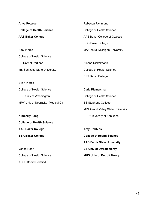| <b>Anya Petersen</b>              | Rebecca Richmond                         |
|-----------------------------------|------------------------------------------|
| <b>College of Health Science</b>  | <b>College of Health Science</b>         |
| <b>AAS Baker College</b>          | AAS Baker College of Owosso              |
|                                   | <b>BGS Baker College</b>                 |
| Amy Pierce                        | <b>MA Central Michigan University</b>    |
| <b>College of Health Science</b>  |                                          |
| <b>BS Univ of Portland</b>        | Alanna Rickelmann                        |
| MS San Jose State University      | <b>College of Health Science</b>         |
|                                   | <b>BRT Baker College</b>                 |
| <b>Brian Pierce</b>               |                                          |
| <b>College of Health Science</b>  | Carla Riemersma                          |
| <b>BCH Univ of Washington</b>     | <b>College of Health Science</b>         |
| MPY Univ of Nebraska- Medical Ctr | <b>BS Stephens College</b>               |
|                                   | <b>MPA Grand Valley State University</b> |
| <b>Kimberly Poag</b>              | PHD University of San Jose               |
| <b>College of Health Science</b>  |                                          |
| <b>AAS Baker College</b>          | <b>Amy Robbins</b>                       |
| <b>BBA Baker College</b>          | <b>College of Health Science</b>         |
|                                   | <b>AAS Ferris State University</b>       |
| Vonda Rann                        | <b>BS Univ of Detroit Mercy</b>          |
| <b>College of Health Science</b>  | <b>MHS Univ of Detroit Mercy</b>         |
| <b>ASCP Board Certified</b>       |                                          |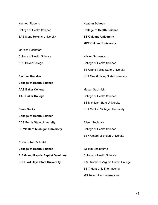| <b>Kenneth Roberts</b>                   | <b>Heather Schoen</b>                    |
|------------------------------------------|------------------------------------------|
| College of Health Science                | <b>College of Health Science</b>         |
| <b>BAS Siena Heights University</b>      | <b>BS Oakland University</b>             |
|                                          | <b>MPT Oakland University</b>            |
| Marissa Rochefort                        |                                          |
| College of Health Science                | Kristen Schoenborn                       |
| <b>ASC Baker College</b>                 | College of Health Science                |
|                                          | <b>BS Grand Valley State University</b>  |
| <b>Rachael Rucklos</b>                   | <b>DPT Grand Valley State University</b> |
| <b>College of Health Science</b>         |                                          |
| <b>AAS Baker College</b>                 | Megan Sechnick                           |
| <b>AAS Baker College</b>                 | College of Health Science                |
|                                          | <b>BS Michigan State University</b>      |
| <b>Dawn Sacks</b>                        | <b>DPT Central Michigan University</b>   |
| <b>College of Health Science</b>         |                                          |
| <b>AAS Ferris State University</b>       | Eileen Sedlecky                          |
| <b>BS Western Michigan University</b>    | College of Health Science                |
|                                          | <b>BS Western Michigan University</b>    |
| <b>Christopher Schmidt</b>               |                                          |
| <b>College of Health Science</b>         | <b>William Shelbourne</b>                |
| <b>AIA Grand Rapids Baptist Seminary</b> | College of Health Science                |
| <b>BDD Fort Hays State University</b>    | AAS Northern Virginia Comm College       |
|                                          | <b>BS Trident Univ International</b>     |
|                                          | <b>MS Trident Univ International</b>     |

43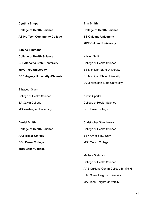| <b>Cynthia Shupe</b>                  | <b>Erin Smith</b>                    |
|---------------------------------------|--------------------------------------|
| <b>College of Health Science</b>      | <b>College of Health Science</b>     |
| <b>AS Ivy Tech Community College</b>  | <b>BS Oakland University</b>         |
|                                       | <b>MPT Oakland University</b>        |
| <b>Sabine Simmons</b>                 |                                      |
| <b>College of Health Science</b>      | Kristen Smith                        |
| <b>BHI Alabama State University</b>   | College of Health Science            |
| <b>MMG Troy University</b>            | <b>BS Michigan State University</b>  |
| <b>DED Argosy University- Phoenix</b> | <b>BS Michigan State University</b>  |
|                                       | <b>DVM Michigan State University</b> |

| College of Health Science       | <b>Kristin Sparks</b>     |
|---------------------------------|---------------------------|
| <b>BA Calvin College</b>        | College of Health Science |
| <b>MS Washington University</b> | <b>CER Baker College</b>  |

**Daniel Smith College of Health Science AAS Baker College BBL Baker College MBA Baker College**

Elizabeth Slack

Christopher Stanglewicz College of Health Science BS Wayne State Univ MSF Walsh College

Melissa Stefanski College of Health Science AAS Oakland Comm College-Blmfld Hl BAS Siena Heights University MA Siena Heights University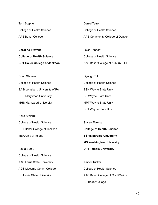| Terri Stephen             |  |
|---------------------------|--|
| College of Health Science |  |
| <b>AAS Baker College</b>  |  |

**Caroline Stevens College of Health Science BRT Baker College of Jackson**

Daniel Tatro College of Health Science AAS Community College of Denver

Leigh Tennant College of Health Science AAS Baker College of Auburn Hills

| <b>Chad Stevens</b>            | Liyor      |
|--------------------------------|------------|
| College of Health Science      | Colle      |
| BA Bloomsburg University of PA | BSH        |
| <b>PHD Marywood University</b> | <b>BSV</b> |
| <b>MHS Marywood University</b> | MPT        |

Anita Stolaruk College of Health Science BRT Baker College of Jackson MBA Univ of Toledo

Paula Surdu College of Health Science AAS Ferris State University AGS Macomb Comm College BS Ferris State University

Liyongo Tolin ege of Health Science Wayne State Univ Vayne State Univ Wayne State Univ DPT Wayne State Univ

**Susan Tomica College of Health Science BS Valparaiso University MS Washington University DPT Temple University**

Amber Tucker College of Health Science AAS Baker College of Grad/Online BS Baker College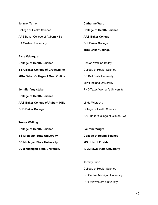| Jennifer Turner                   |
|-----------------------------------|
| College of Health Science         |
| AAS Baker College of Auburn Hills |
| <b>BA Oakland University</b>      |

**Elsie Velazquez College of Health Science BBA Baker College of Grad/Online MBA Baker College of Grad/Online**

**Jennifer Vuylsteke College of Health Science AAS Baker College of Auburn Hills BHS Baker College**

**Trevor Walling College of Health Science BS Michigan State University BS Michigan State University DVM Michigan State University** **Catherine Ward College of Health Science AAS Baker College BHI Baker College MBA Baker College**

Shalah Watkins-Bailey College of Health Science BS Ball State University MPH Indiana University PHD Texas Woman's University

Linda Wietecha College of Health Science AAS Baker College of Clinton Twp

**Laurene Wright College of Health Science MS Univ of Florida DVM Iowa State University**

Jeremy Zuba College of Health Science BS Central Michigan University DPT Midwestern University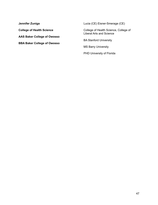**Jennifer Zuniga College of Health Science AAS Baker College of Owosso BBA Baker College of Owosso** Lucia (CE) Eisner-Smerage (CE)

College of Health Science, College of Liberal Arts and Science

BA Stanford University

MS Barry University

PHD University of Florida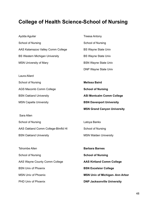## **College of Health Science-School of Nursing**

| Aydda Aguilar                         | <b>Treesa Antony</b>                  |
|---------------------------------------|---------------------------------------|
| School of Nursing                     | School of Nursing                     |
| AAS Kalamazoo Valley Comm College     | <b>BS Wayne State Univ</b>            |
| <b>BS Western Michigan University</b> | <b>BS Wayne State Univ</b>            |
| <b>MSN University of Mary</b>         | <b>BSN Wayne State Univ</b>           |
|                                       | <b>DNP Wayne State Univ</b>           |
| Laura Allard                          |                                       |
| School of Nursing                     | <b>Melissa Baird</b>                  |
| <b>AGS Macomb Comm College</b>        | <b>School of Nursing</b>              |
| <b>BSN Oakland University</b>         | <b>ASI Montcalm Comm College</b>      |
| <b>MSN Capella University</b>         | <b>BSN Davenport University</b>       |
|                                       | <b>MSN Grand Canyon University</b>    |
| Sara Allen                            |                                       |
| School of Nursing                     | Latoya Banks                          |
| AAS Oakland Comm College-Blmfld HI    | School of Nursing                     |
| <b>BSN Oakland University</b>         | <b>MSN Walden University</b>          |
|                                       |                                       |
| <b>Tshombe Allen</b>                  | <b>Barbara Barnes</b>                 |
| School of Nursing                     | <b>School of Nursing</b>              |
| AAS Wayne County Comm College         | <b>AAS Kirtland Comm College</b>      |
| <b>BSN Univ of Phoenix</b>            | <b>BSN Excelsior College</b>          |
| <b>MSN Univ of Phoenix</b>            | <b>MSN Univ of Michigan-Ann Arbor</b> |
| PHD Univ of Phoenix                   | <b>DNP Jacksonville University</b>    |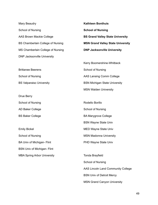Mary Beaudry School of Nursing AAS Brown Mackie College BS Chamberlain College of Nursing MS Chamberlain College of Nursing DNP Jacksonville University

Brittanee Beerens School of Nursing BS Valparaiso University

Drue Berry School of Nursing AD Baker College BS Baker College

Emily Bickel School of Nursing BA Univ of Michigan- Flint BSN Univ of Michigan- Flint MBA Spring Arbor University **Kathleen Bonthuis School of Nursing BS Grand Valley State University MSN Grand Valley State University DNP Jacksonville University**

Kerry Boomershine-Whitbeck School of Nursing AAS Lansing Comm College BSN Michigan State University MSN Walden University

Rodello Borillo School of Nursing BA Marygrove College BSN Wayne State Univ MED Wayne State Univ MSN Madonna University PHD Wayne State Univ

Tonda Brayfield School of Nursing AAS Lincoln Land Community College BSN Univ of Detroit Mercy MSN Grand Canyon University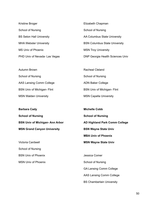| Kristine Broger                 | Elizabeth Chapman                       |
|---------------------------------|-----------------------------------------|
| School of Nursing               | School of Nursing                       |
| <b>BS Seton Hall University</b> | AA Columbus State University            |
| <b>MHA Webster University</b>   | <b>BSN Columbus State University</b>    |
| MS Univ of Phoenix              | <b>MSN Troy University</b>              |
| PHD Univ of Nevada- Las Vegas   | <b>DNP Georgia Health Sciences Univ</b> |

| Autumn Brown                       | <b>Racheal Cleland</b>             |
|------------------------------------|------------------------------------|
| School of Nursing                  | School of Nursing                  |
| AAS Lansing Comm College           | <b>ADN Baker College</b>           |
| <b>BSN Univ of Michigan- Flint</b> | <b>BSN Univ of Michigan- Flint</b> |
| <b>MSN Walden University</b>       | <b>MSN Capella University</b>      |

**Barbara Cady School of Nursing BSN Univ of Michigan- Ann Arbor MSN Grand Canyon University**

Victoria Cardwell School of Nursing BSN Univ of Phoenix MSN Univ of Phoenix

**Michelle Cobb School of Nursing AD Highland Park Comm College BSN Wayne State Univ MBA Univ of Phoenix MSN Wayne State Univ**

Jessica Comer School of Nursing GA Lansing Comm College AAS Lansing Comm College BS Chamberlain University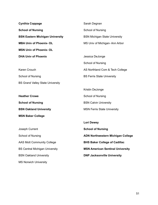| <b>Cynthia Coppage</b>                  | Sarah Degnan                            |
|-----------------------------------------|-----------------------------------------|
| <b>School of Nursing</b>                | School of Nursing                       |
| <b>BSN Eastern Michigan University</b>  | <b>BSN Michigan State University</b>    |
| <b>MBA Univ of Phoenix-OL</b>           | MS Univ of Michigan-Ann Arbor           |
| <b>MSN Univ of Phoenix-OL</b>           |                                         |
| <b>DHA Univ of Phoenix</b>              | Jessica DeJonge                         |
|                                         | School of Nursing                       |
| <b>Karen Crouch</b>                     | AS Northland Com & Tech College         |
| School of Nursing                       | <b>BS Ferris State University</b>       |
| <b>BS Grand Valley State University</b> |                                         |
|                                         | Kristin DeJonge                         |
| <b>Heather Crowe</b>                    | School of Nursing                       |
| <b>School of Nursing</b>                | <b>BSN Calvin University</b>            |
| <b>BSN Oakland University</b>           | <b>MSN Ferris State University</b>      |
| <b>MSN Baker College</b>                |                                         |
|                                         | <b>Lori Dewey</b>                       |
| Joseph Current                          | <b>School of Nursing</b>                |
| School of Nursing                       | ADN Northwestern Michigan College       |
| <b>AAS Mott Community College</b>       | <b>BHS Baker College of Cadillac</b>    |
| <b>BS Central Michigan University</b>   | <b>MSN American Sentinal University</b> |
| <b>BSN Oakland University</b>           | <b>DNP Jacksonville University</b>      |
| <b>MS Norwich University</b>            |                                         |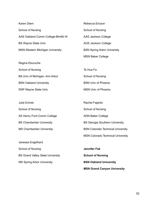| <b>Karen Diem</b>                      | Rebecca Ericson                    |
|----------------------------------------|------------------------------------|
| School of Nursing                      | School of Nursing                  |
| AAS Oakland Comm College-Blmfld HI     | AAS Jackson College                |
| <b>BS Wayne State Univ</b>             | AGS Jackson College                |
| <b>MSN Western Michigan University</b> | <b>BSN Spring Arbor University</b> |
|                                        | <b>MSN Baker College</b>           |
| Regina Eburuche                        |                                    |
| School of Nursing                      | Te Hua Fa                          |
| BA Univ of Michigan-Ann Arbor          | School of Nursing                  |
| <b>BSN Oakland University</b>          | <b>BSN Univ of Phoenix</b>         |
| <b>DNP Wayne State Univ</b>            | <b>MSN Univ of Phoenix</b>         |
|                                        |                                    |
| Julia Echols                           | Rachel Fajardo                     |
| School of Nursing                      | School of Nursing                  |
| AS Henry Ford Comm College             | <b>ADN Baker College</b>           |

BS Chamberlain University MS Chamberlain University

Janessa Engelhard School of Nursing BS Grand Valley State University MS Spring Arbor University

ADN Baker College BS Georgia Southern University BSN Colorado Technical University MSN Colorado Technical University

**Jennifer Fak School of Nursing BSN Oakland University MSN Grand Canyon University**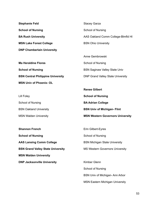| <b>Stephanie Feld</b>                    | <b>Stacey Garza</b>                      |
|------------------------------------------|------------------------------------------|
| <b>School of Nursing</b>                 | School of Nursing                        |
| <b>BA Rush University</b>                | AAS Oakland Comm College-Blmfld HI       |
| <b>MSN Lake Forest College</b>           | <b>BSN Ohio University</b>               |
| <b>DNP Chamberlain University</b>        |                                          |
|                                          | Anne Gembrowski                          |
| <b>Ma Heraldine Flores</b>               | School of Nursing                        |
| <b>School of Nursing</b>                 | <b>BSN Saginaw Valley State Univ</b>     |
| <b>BSN Central Philippine University</b> | <b>DNP Grand Valley State University</b> |
| <b>MSN Univ of Phoenix-OL</b>            |                                          |

|                               | <b>Renee Gilbert</b>                    |
|-------------------------------|-----------------------------------------|
| Lill Foley                    | <b>School of Nursing</b>                |
| School of Nursing             | <b>BA Adrian College</b>                |
| <b>BSN Oakland University</b> | <b>BSN Univ of Michigan- Flint</b>      |
| <b>MSN Walden University</b>  | <b>MSN Western Governors University</b> |

| <b>Shannon French</b>                    | Erin Gilbert-Eyres                     |
|------------------------------------------|----------------------------------------|
| <b>School of Nursing</b>                 | School of Nursing                      |
| <b>AAS Lansing Comm College</b>          | <b>BSN Michigan State University</b>   |
| <b>BSN Grand Valley State University</b> | <b>MS Western Governors University</b> |
| <b>MSN Walden University</b>             |                                        |
| <b>DNP Jacksonville University</b>       | Kimber Glenn                           |
|                                          | School of Nursing                      |

BSN Univ of Michigan- Ann Arbor

MSN Eastern Michigan University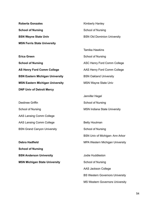**Roberta Gonzales School of Nursing BSN Wayne State Univ MSN Ferris State University**

**Erica Green School of Nursing AS Henry Ford Comm College BSN Eastern Michigan University MSN Eastern Michigan University DNP Univ of Detroit Mercy**

Destinee Griffin School of Nursing AAS Lansing Comm College AAS Lansing Comm College BSN Grand Canyon University

**Debra Hadfield School of Nursing BSN Anderson University MSN Michigan State University** Kimberly Hanley School of Nursing BSN Old Dominion University

Tamika Hawkins School of Nursing ASC Henry Ford Comm College AAS Henry Ford Comm College BSN Oakland University MSN Wayne State Univ

Jennifer Hegel School of Nursing MSN Indiana State University

Betty Houtman School of Nursing BSN Univ of Michigan- Ann Arbor MPA Western Michigan University

Jodie Huddleston School of Nursing AAS Jackson College BS Western Governors University MS Western Governors University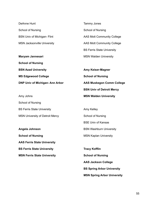DeAnne Hunt School of Nursing BSN Univ of Michigan- Flint MSN Jacksonville University

**Maryam Jannesari School of Nursing BSN Azad University MS Edgewood College DNP Univ of Michigan- Ann Arbor**

Amy Johns School of Nursing BS Ferris State University MSN University of Detroit Mercy

**Angela Johnson School of Nursing AAS Ferris State University BS Ferris State University MSN Ferris State University**

Tammy Jones School of Nursing AAS Mott Community College AAS Mott Community College BS Ferris State University MSN Walden University

**Amy Keiser-Magner School of Nursing AAS Muskegon Comm College BSN Univ of Detroit Mercy MSN Walden University**

Amy Kelley School of Nursing BSE Univ of Kansas BSN Washburn University MSN Kaplan University

**Tracy Kofflin School of Nursing AAS Jackson College BS Spring Arbor University MSN Spring Arbor University**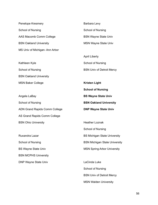Penelope Kresmery School of Nursing AAS Macomb Comm College BSN Oakland University MS Univ of Michigan- Ann Arbor

Kathleen Kyle School of Nursing BSN Oakland University MSN Baker College

Angela LaBay School of Nursing ADN Grand Rapids Comm College AS Grand Rapids Comm College BSN Ohio University

Ruxandra Lazar School of Nursing BS Wayne State Univ BSN MCPHS University DNP Wayne State Univ

Barbara Levy School of Nursing BSN Wayne State Univ MSN Wayne State Univ

April Liberty School of Nursing BSN Univ of Detroit Mercy

**Kristen Light School of Nursing BS Wayne State Univ BSN Oakland University DNP Wayne State Univ**

Heather Loznak School of Nursing BS Michigan State University BSN Michigan State University MSN Spring Arbor University

LaCinda Luke School of Nursing BSN Univ of Detroit Mercy MSN Walden University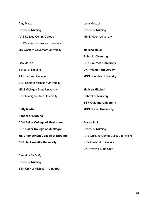| Amy Maas                                 | Lana Mesack                        |
|------------------------------------------|------------------------------------|
| School of Nursing                        | School of Nursing                  |
| AAS Kellogg Comm College                 | <b>MSN Aspen University</b>        |
| <b>BS Western Governors University</b>   |                                    |
| <b>MS Western Governors University</b>   | <b>Melissa Miller</b>              |
|                                          | <b>School of Nursing</b>           |
| Lisa Marcin                              | <b>BSN Lourdes University</b>      |
| School of Nursing                        | <b>DNP Walden University</b>       |
| <b>AAS Jackson College</b>               | <b>MSN Lourdes University</b>      |
| <b>BSN Eastern Michigan University</b>   |                                    |
| <b>MSN Michigan State University</b>     | <b>Melissa Mitchell</b>            |
| <b>DNP Michigan State University</b>     | <b>School of Nursing</b>           |
|                                          | <b>BSN Oakland University</b>      |
| <b>Kelly Martin</b>                      | <b>MSN Drexel University</b>       |
| <b>School of Nursing</b>                 |                                    |
| <b>ADN Baker College of Muskegon</b>     | Franca Mofor                       |
| <b>BSN Baker College of Muskegon</b>     | School of Nursing                  |
| <b>MS Chamberlain College of Nursing</b> | AAS Oakland Comm College-Blmfld HI |
| <b>DNP Jacksonville University</b>       | <b>BSN Oakland University</b>      |
|                                          | <b>DNP Wayne State Univ</b>        |

Demetria McDuffy School of Nursing BSN Univ of Michigan- Ann Arbor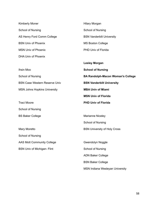| <b>Kimberly Moner</b>                | <b>Hilary Morgan</b>                     |
|--------------------------------------|------------------------------------------|
| School of Nursing                    | School of Nursing                        |
| AS Henry Ford Comm College           | <b>BSN Vanderbilt University</b>         |
| <b>BSN Univ of Phoenix</b>           | <b>MS Boston College</b>                 |
| <b>MSN Univ of Phoenix</b>           | PHD Univ of Florida                      |
| <b>DHA Univ of Phoenix</b>           |                                          |
|                                      | <b>Lesley Morgan</b>                     |
| <b>Ihsin Moo</b>                     | <b>School of Nursing</b>                 |
| School of Nursing                    | <b>BA Randolph-Macon Woman's College</b> |
| <b>BSN Case Western Reserve Univ</b> | <b>BSN Vanderbilt University</b>         |
| <b>MSN Johns Hopkins University</b>  | <b>MBA Univ of Miami</b>                 |
|                                      | <b>MSN Univ of Florida</b>               |
| <b>Traci Moore</b>                   | <b>PHD Univ of Florida</b>               |
| School of Nursing                    |                                          |
| <b>BS Baker College</b>              | <b>Marianne Niceley</b>                  |
|                                      | School of Nursing                        |
| Mary Moretto                         | <b>BSN University of Holy Cross</b>      |
| School of Nursing                    |                                          |
| <b>AAS Mott Community College</b>    | Gwendolyn Noggle                         |
| <b>BSN Univ of Michigan- Flint</b>   | School of Nursing                        |
|                                      | <b>ADN Baker College</b>                 |
|                                      | <b>BSN Baker College</b>                 |
|                                      | MSN Indiana Wesleyan University          |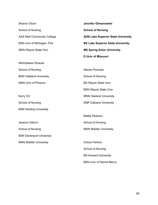Sharon Odum School of Nursing AAS Mott Community College BSN Univ of Michigan- Flint MSN Wayne State Univ

Nihinlolawa Oluwole School of Nursing BSN Oakland University MSN Univ of Phoenix

Kerry Orr School of Nursing BSN Harding University

Jessica Osborn School of Nursing BSN Davenport University MSN Walden University

**Jennifer Otmanowski School of Nursing ADN Lake Superior State University BS Lake Superior State University MS Spring Arbor University D Univ of Missouri**

Steven Pavloski School of Nursing BS Wayne State Univ BSN Wayne State Univ MSN Oakland University DNP Oakland University

Mattie Pearson School of Nursing MSN Walden University

Cheryl Perkins School of Nursing BS Howard University BSN Univ of Detroit Mercy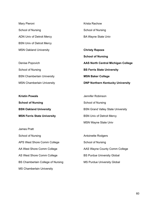| Krista Rachow                             |
|-------------------------------------------|
| School of Nursing                         |
| <b>BA Wayne State Univ</b>                |
|                                           |
| <b>Christy Rapoza</b>                     |
| <b>School of Nursing</b>                  |
| <b>AAS North Central Michigan College</b> |
| <b>BS Ferris State University</b>         |
| <b>MSN Baker College</b>                  |
| <b>DNP Northern Kentucky University</b>   |
|                                           |

| <b>Kristin Powals</b>              | Jennifer Robinson                        |
|------------------------------------|------------------------------------------|
| <b>School of Nursing</b>           | School of Nursing                        |
| <b>BSN Oakland University</b>      | <b>BSN Grand Valley State University</b> |
| <b>MSN Ferris State University</b> | <b>BSN Univ of Detroit Mercy</b>         |

James Pratt School of Nursing APS West Shore Comm College AA West Shore Comm College AS West Shore Comm College BS Chamberlain College of Nursing MS Chamberlain University

Antoinette Rodgers School of Nursing AAS Wayne County Comm College BS Purdue University Global MS Purdue University Global

MSN Wayne State Univ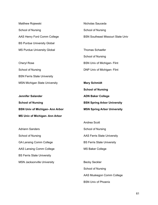Matthew Rojewski School of Nursing AAS Henry Ford Comm College BS Purdue University Global MS Purdue University Global

Cheryl Rose School of Nursing BSN Ferris State University MSN Michigan State University

**Jennifer Salander School of Nursing BSN Univ of Michigan- Ann Arbor MS Univ of Michigan- Ann Arbor**

Adriann Sanders School of Nursing GA Lansing Comm College AAS Lansing Comm College BS Ferris State University MSN Jacksonville University Nicholas Sauceda School of Nursing BSN Southeast Missouri State Univ

Thomas Schaefer School of Nursing BSN Univ of Michigan- Flint DNP Univ of Michigan- Flint

**Mary Schmidt School of Nursing ADN Baker College BSN Spring Arbor University MSN Spring Arbor University**

Andrea Scott School of Nursing AAS Ferris State University BS Ferris State University MS Baker College

Becky Seckler School of Nursing AAS Muskegon Comm College BSN Univ of Phoenix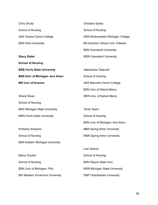Chris Shultz School of Nursing AAS Owens Comm College BSN Ohio University

**Stacy Slater School of Nursing BSB Ferris State University BSN Univ of Michigan- Ann Arbor MS Univ of Arizona**

Sheryl Sloan School of Nursing BSN Michigan State University MSN Ferris State University

Kimberly Smeyers School of Nursing BSN Eastern Michigan University

Marcy Snyder School of Nursing BSN Univ of Michigan- Flint MS Western Governors University

Christine Sykes School of Nursing ADN Northwestern Michigan College BS Southern Illinois Univ- Edward BSN Graceland University MSN Graceland University

Aleksandra Tasevski School of Nursing AAS Macomb Comm College BSN Univ of Detroit Mercy MSN Univ of Detroit Mercy

Torrie Taylor School of Nursing BSN Univ of Michigan- Ann Arbor MBA Spring Arbor University MSN Spring Arbor University

Lisa Tedrow School of Nursing BSN Wayne State Univ MSN Michigan State University DNP Chamberlain University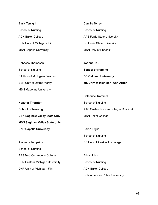| Emily Tersigni                     | Camille Torrey                     |
|------------------------------------|------------------------------------|
| School of Nursing                  | School of Nursing                  |
| <b>ADN Baker College</b>           | <b>AAS Ferris State University</b> |
| <b>BSN Univ of Michigan- Flint</b> | <b>BS Ferris State University</b>  |
| <b>MSN Capella University</b>      | <b>MSN Univ of Phoenix</b>         |

| Rebecca Thompson                 | Joanna Tou                           |
|----------------------------------|--------------------------------------|
| School of Nursing                | <b>School of Nursing</b>             |
| BA Univ of Michigan- Dearborn    | <b>BS Oakland University</b>         |
| <b>BSN Univ of Detroit Mercy</b> | <b>MS Univ of Michigan-Ann Arbor</b> |
| <b>MSN Madonna University</b>    |                                      |

Catherine Trammel

| <b>Heather Thornton</b>                | School of Nursing                     |
|----------------------------------------|---------------------------------------|
| <b>School of Nursing</b>               | AAS Oakland Comm College- Royl Oak    |
| <b>BSN Saginaw Valley State Univ</b>   | <b>MSN Baker College</b>              |
| <b>MSN Saginaw Valley State Univ</b>   |                                       |
| <b>DNP Capella University</b>          | Sarah Triglia                         |
|                                        | School of Nursing                     |
| Amorena Tompkins                       | BS Univ of Alaska-Anchorage           |
| School of Nursing                      |                                       |
| <b>AAS Mott Community College</b>      | Erica Ulrich                          |
| <b>BSN Eastern Michigan University</b> | School of Nursing                     |
| DNP Univ of Michigan- Flint            | <b>ADN Baker College</b>              |
|                                        | <b>BSN American Public University</b> |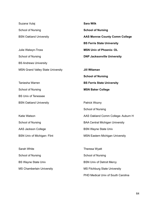| Suzana Vulaj                             | <b>Sara Wilk</b>                       |
|------------------------------------------|----------------------------------------|
| School of Nursing                        | <b>School of Nursing</b>               |
| <b>BSN Oakland University</b>            | <b>AAS Monroe County Comm College</b>  |
|                                          | <b>BS Ferris State University</b>      |
| Julie Walwyn-Tross                       | <b>MSN Univ of Phoenix-OL</b>          |
| School of Nursing                        | <b>DNP Jacksonville University</b>     |
| <b>BS Andrews University</b>             |                                        |
| <b>MSN Grand Valley State University</b> | <b>Jill Witzman</b>                    |
|                                          | <b>School of Nursing</b>               |
| Taniesha Warren                          | <b>BS Ferris State University</b>      |
| School of Nursing                        | <b>MSN Baker College</b>               |
| <b>BS Univ of Tenessee</b>               |                                        |
| <b>BSN Oakland University</b>            | Patrick Wozny                          |
|                                          | School of Nursing                      |
| Katie Watson                             | AAS Oakland Comm College-Auburn H      |
| School of Nursing                        | <b>BAA Central Michigan University</b> |
| AAS Jackson College                      | <b>BSN Wayne State Univ</b>            |
| <b>BSN Univ of Michigan- Flint</b>       | <b>MSN Eastern Michigan University</b> |
|                                          |                                        |
| Sarah White                              | Theresa Wyatt                          |
| School of Nursing                        | School of Nursing                      |
| <b>BS Wayne State Univ</b>               | <b>BSN Univ of Detroit Mercy</b>       |
| <b>MS Chamberlain University</b>         | <b>MS Fitchburg State University</b>   |
|                                          | PHD Medical Univ of South Carolina     |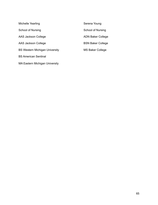| Michelle Yearling                     | Serena Young             |
|---------------------------------------|--------------------------|
| School of Nursing                     | School of Nursing        |
| AAS Jackson College                   | <b>ADN Baker College</b> |
| AAS Jackson College                   | <b>BSN Baker College</b> |
| <b>BS Western Michigan University</b> | <b>MS Baker College</b>  |
| <b>BS American Sentinal</b>           |                          |
| MA Eastern Michigan University        |                          |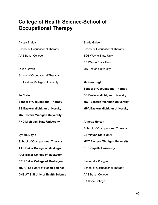## **College of Health Science-School of Occupational Therapy**

Alyssa Braida School of Occupational Therapy AAS Baker College Ouida Brown

School of Occupational Therapy BS Eastern Michigan University

**Jo Crain School of Occupational Therapy BS Eastern Michigan University MA Eastern Michigan University PHD Michigan State University**

**Lyndle Doyle School of Occupational Therapy AAS Baker College of Muskegon AAS Baker College of Muskegon BRH Baker College of Muskegon MS AT Still Univ of Health Science DHS AT Still Univ of Health Science** Sheila Guiao School of Occupational Therapy BOT Wayne State Univ BS Wayne State Univ MS Boston University

**Melissa Heglin School of Occupational Therapy BS Eastern Michigan University MOT Eastern Michigan University MPA Eastern Michigan University**

**Annette Horton School of Occupational Therapy BS Wayne State Univ MOT Eastern Michigan University PHD Capella University**

Cassandra Kregger School of Occupational Therapy AAS Baker College BA Hope College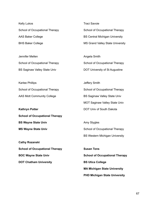Kelly Lukos School of Occupational Therapy AAS Baker College BHS Baker College

Jennifer Mellen School of Occupational Therapy BS Saginaw Valley State Univ

Karlee Phillips School of Occupational Therapy AAS Mott Community College

**Kathryn Potter School of Occupational Therapy BS Wayne State Univ MS Wayne State Univ**

**Cathy Rozanski School of Occupational Therapy BOC Wayne State Univ DOT Chatham University**

Traci Savoie School of Occupational Therapy BS Central Michigan University MS Grand Valley State University

Angela Smith School of Occupational Therapy DOT University of St Augustine

Jeffery Smith School of Occupational Therapy BS Saginaw Valley State Univ MOT Saginaw Valley State Univ DOT Univ of South Dakota

Amy Stygles School of Occupational Therapy BS Western Michigan University

**Susan Tons School of Occupational Therapy BS Utica College MA Michigan State University PHD Michigan State University**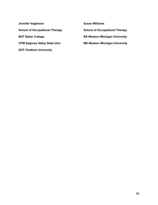| Jennifer Vogtmann                     | $s_{0}$ |
|---------------------------------------|---------|
| <b>School of Occupational Therapy</b> | S٥      |
| <b>BOT Baker College</b>              | B.      |
| <b>OTM Saginaw Valley State Univ</b>  | М       |
| <b>DOT Chatham University</b>         |         |

**Susan Williams**

**School of Occupational Therapy**

**BS Western Michigan University**

**MS Western Michigan University**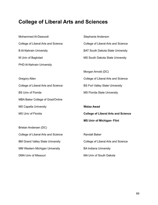## **College of Liberal Arts and Sciences**

| Mohammed Al-Dawoodi                     | Stephanie Anderson                         |
|-----------------------------------------|--------------------------------------------|
| College of Liberal Arts and Science     | College of Liberal Arts and Science        |
| <b>B Al-Nahrain University</b>          | <b>BAT South Dakota State University</b>   |
| M Univ of Baghdad                       | MS South Dakota State University           |
| PHD Al-Nahrain University               |                                            |
|                                         | Morgan Arnold (DC)                         |
| <b>Gregory Allen</b>                    | College of Liberal Arts and Science        |
| College of Liberal Arts and Science     | <b>BS Fort Valley State University</b>     |
| <b>BS Univ of Florida</b>               | <b>MS Florida State University</b>         |
| MBA Baker College of Grad/Online        |                                            |
| <b>MS Capella University</b>            | <b>Walaa Awad</b>                          |
| MS Univ of Florida                      | <b>College of Liberal Arts and Science</b> |
|                                         | <b>MS Univ of Michigan- Flint</b>          |
| Brielan Andersen (DC)                   |                                            |
| College of Liberal Arts and Science     | <b>Randall Baker</b>                       |
| <b>BM Grand Valley State University</b> | College of Liberal Arts and Science        |
| <b>MM Western Michigan University</b>   | <b>BA Indiana University</b>               |
| <b>DMA Univ of Missouri</b>             | MA Univ of South Dakota                    |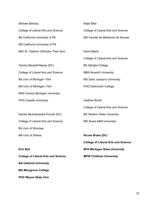Michael Barclay College of Liberal Arts and Science BA California University of PA MA California University of PA MDI St. Vladimir Orthodox Theo Sem

Tammy Beckett-Reese (DC) College of Liberal Arts and Science BA Univ of Michigan- Flint MA Univ of Michigan- Flint MSA Central Michigan University PHD Capella University

Kamila Bednarowska-Porcek (DC) College of Liberal Arts and Science BA Univ of Wroctaw MA Univ of Silesia

**Erin Bell College of Liberal Arts and Science BA Oakland University MA Marygrove College PHD Wayne State Univ**

Najla Bitar College of Liberal Arts and Science MD Faculte de Medecine de Sousse David Blank College of Liberal Arts and Science BS Albright College MBA Norwich University MS Saint Joseph's University PHD Dartmouth College

Heather Booth

College of Liberal Arts and Science

BS Tarleton State University

MS Texas A&M University

**Nicole Brake (DC)**

**College of Liberal Arts and Science**

**BFA Michigan State University**

**MPW Chatham University**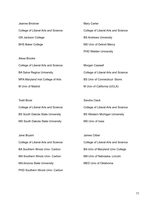| Jeanne Brickner                     | Mary Carter                         |
|-------------------------------------|-------------------------------------|
| College of Liberal Arts and Science | College of Liberal Arts and Science |
| <b>GN Jackson College</b>           | <b>BS Andrews University</b>        |
| <b>BHS Baker College</b>            | MS Univ of Detroit Mercy            |
|                                     | <b>PHD Walden University</b>        |
| Alexa Brooks                        |                                     |
| College of Liberal Arts and Science | Morgan Caswell                      |

College of Liberal Arts and Science

BS Univ of Connecticut- Storrs

M Univ of California (UCLA)

BA Salve Regina University MFA Maryland Inst College of Arts M Univ of Madrid

Todd Brost College of Liberal Arts and Science BS South Dakota State University MS South Dakota State University Sandra Clack College of Liberal Arts and Science BS Western Michigan University MS Univ of Iowa

Jane Bryant College of Liberal Arts and Science BA Southern Illinois Univ- Carbon MA Southern Illinois Univ- Carbon MA Arizona State University PHD Southern Illinois Univ- Carbon James Cliber College of Liberal Arts and Science BA Univ of Maryland Univ College MA Univ of Nebraska- Lincoln MED Univ of Oklahoma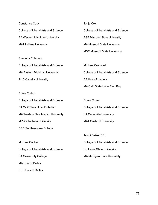| <b>Constance Cody</b>                 | Tonja Cox                            |
|---------------------------------------|--------------------------------------|
| College of Liberal Arts and Science   | College of Liberal Arts and Science  |
| <b>BA Western Michigan University</b> | <b>BSE Missouri State University</b> |
| <b>MAT Indiana University</b>         | <b>MA Missouri State University</b>  |
|                                       | <b>MSE Missouri State University</b> |
| Shenetta Coleman                      |                                      |
| College of Liberal Arts and Science   | Michael Cromwell                     |
| <b>MA Eastern Michigan University</b> | College of Liberal Arts and Science  |
| <b>PHD Capella University</b>         | <b>BA Univ of Virginia</b>           |
|                                       | MA Calif State Univ- East Bay        |
| <b>Bryan Corbin</b>                   |                                      |
| College of Liberal Arts and Science   | <b>Bryan Crump</b>                   |
| <b>BA Calif State Univ- Fullerton</b> | College of Liberal Arts and Science  |

MA Western New Mexico University MPW Chatham University

DED Southwestern College

Michael Coulter College of Liberal Arts and Science BA Grove City College MA Univ of Dallas PHD Univ of Dallas

College of Liberal Arts and Science BA Cedarville University MAT Oakland University

Tawni Deike (CE) College of Liberal Arts and Science BS Ferris State University

MA Michigan State University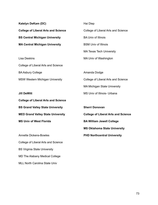| Katelyn DeKam (DC)                         | Hai Diep                                   |
|--------------------------------------------|--------------------------------------------|
| <b>College of Liberal Arts and Science</b> | College of Liberal Arts and Science        |
| <b>BS Central Michigan University</b>      | <b>BA Univ of Illinois</b>                 |
| <b>MA Central Michigan University</b>      | <b>BSM Univ of Illinois</b>                |
|                                            | <b>MA Texas Tech University</b>            |
| <b>Lisa Deskins</b>                        | MA Univ of Washington                      |
| College of Liberal Arts and Science        |                                            |
| <b>BA Asbury College</b>                   | Amanda Dodge                               |
| <b>MSW Western Michigan University</b>     | College of Liberal Arts and Science        |
|                                            | <b>MA Michigan State University</b>        |
| <b>Jill DeWitt</b>                         | MS Univ of Illinois- Urbana                |
| <b>College of Liberal Arts and Science</b> |                                            |
| <b>BS Grand Valley State University</b>    | <b>Sherri Donovan</b>                      |
| <b>MED Grand Valley State University</b>   | <b>College of Liberal Arts and Science</b> |
| <b>MS Univ of West Florida</b>             | <b>BA William Jewell College</b>           |
|                                            | <b>MS Oklahoma State University</b>        |
| <b>Annette Dickens-Bowles</b>              | <b>PHD Northcentral University</b>         |
| College of Liberal Arts and Science        |                                            |
| <b>BS Virginia State University</b>        |                                            |

MD The Alabany Medical College

MLL North Carolina State Univ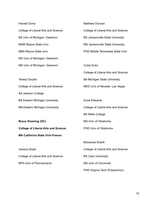| Hanadi Dorra                               | <b>Matthew Duncan</b>                   |
|--------------------------------------------|-----------------------------------------|
| College of Liberal Arts and Science        | College of Liberal Arts and Science     |
| BS Univ of Michigan- Dearborn              | <b>BS Jacksonville State University</b> |
| <b>MAM Wayne State Univ</b>                | MS Jacksonville State University        |
| <b>MBA Wayne State Univ</b>                | PHD Middle Tennessee State Univ         |
| MS Univ of Michigan- Dearborn              |                                         |
| MS Univ of Michigan- Dearborn              | <b>Cristy Ector</b>                     |
|                                            | College of Liberal Arts and Science     |
| <b>Teresa Double</b>                       | <b>BA Michigan State University</b>     |
| College of Liberal Arts and Science        | MED Univ of Nevada- Las Vegas           |
| AA Jackson College                         |                                         |
| <b>BS Eastern Michigan University</b>      | <b>Anne Edwards</b>                     |
| <b>MA Eastern Michigan University</b>      | College of Liberal Arts and Science     |
|                                            | <b>BA Wells College</b>                 |
| <b>Bryce Downing (DC)</b>                  | MA Univ of Oklahoma                     |
| <b>College of Liberal Arts and Science</b> | PHD Univ of Oklahoma                    |
| <b>MA California State Univ-Fresno</b>     |                                         |
|                                            | <b>Mohamed Elseifi</b>                  |
| Jessica Doyle                              | College of Liberal Arts and Science     |
| College of Liberal Arts and Science        | <b>BS Cairo University</b>              |
| MFA Univ of Pennsylvania                   | <b>MS Univ of Cincinnati</b>            |
|                                            | PHD Virginia Tech (Polytechnic)         |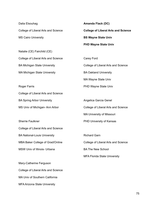| Dalia Elsouhag                      | <b>Amanda Flack (DC)</b>                   |
|-------------------------------------|--------------------------------------------|
| College of Liberal Arts and Science | <b>College of Liberal Arts and Science</b> |
| <b>MS Cairo University</b>          | <b>BS Wayne State Univ</b>                 |
|                                     | <b>PHD Wayne State Univ</b>                |
| Natalie (CE) Fairchild (CE)         |                                            |
| College of Liberal Arts and Science | Carey Ford                                 |
| <b>BA Michigan State University</b> | College of Liberal Arts and Science        |
| <b>MA Michigan State University</b> | <b>BA Oakland University</b>               |
|                                     | MA Wayne State Univ                        |
| <b>Roger Farris</b>                 | PHD Wayne State Univ                       |
| College of Liberal Arts and Science |                                            |
| <b>BA Spring Arbor University</b>   | Angelica Garcia Genel                      |
| MS Univ of Michigan-Ann Arbor       | College of Liberal Arts and Science        |
|                                     | <b>MA University of Missouri</b>           |
| <b>Sherrie Faulkner</b>             | PHD University of Kansas                   |
| College of Liberal Arts and Science |                                            |
| <b>BA National-Louis University</b> | <b>Richard Garn</b>                        |
| MBA Baker College of Grad/Online    | College of Liberal Arts and Science        |
| MSW Univ of Illinois- Urbana        | <b>BA The New School</b>                   |
|                                     | <b>MFA Florida State University</b>        |
| Mary-Catherine Ferguson             |                                            |
| College of Liberal Arts and Science |                                            |

- MA Univ of Southern California
- MFA Arizona State University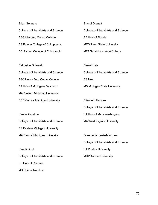| <b>Brian Gennero</b>                     | <b>Brandi Granett</b>               |
|------------------------------------------|-------------------------------------|
| College of Liberal Arts and Science      | College of Liberal Arts and Science |
| AGS Macomb Comm College                  | <b>BA Univ of Florida</b>           |
| <b>BS Palmer College of Chiropractic</b> | <b>MED Penn State University</b>    |
| DC Palmer College of Chiropractic        | <b>MFA Sarah Lawrence College</b>   |

| <b>Catherine Gniewek</b>               | Daniel Hale                         |
|----------------------------------------|-------------------------------------|
| College of Liberal Arts and Science    | College of Liberal Arts and Science |
| ASC Henry Ford Comm College            | BS N/A                              |
| <b>BA Univ of Michigan- Dearborn</b>   | <b>MS Michigan State University</b> |
| <b>MA Eastern Michigan University</b>  |                                     |
| <b>DED Central Michigan University</b> | Elizabeth Hansen                    |

Denise Gorsline College of Liberal Arts and Science BS Eastern Michigan University MA Central Michigan University

Deepti Govil College of Liberal Arts and Science BS Univ of Roorkee MS Univ of Roorkee

BA Univ of Mary Washington

MA West Virginia University

College of Liberal Arts and Science

Queenetta Harris-Marquez College of Liberal Arts and Science BA Purdue University MHP Auburn University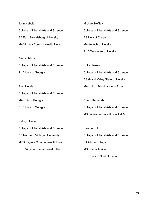| John Hebble                            | <b>Michael Heffley</b>                  |
|----------------------------------------|-----------------------------------------|
| College of Liberal Arts and Science    | College of Liberal Arts and Science     |
| <b>BA East Stroudsburg University</b>  | <b>BS Univ of Oregon</b>                |
| MA Virginia Commonwealth Univ          | <b>MA Antioch University</b>            |
|                                        | <b>PHD Wesleyan University</b>          |
| Beata Hebda                            |                                         |
| College of Liberal Arts and Science    | <b>Holly Hereau</b>                     |
| PHD Univ of Georgia                    | College of Liberal Arts and Science     |
|                                        | <b>BS Grand Valley State University</b> |
| Piotr Hebda                            | MA Univ of Michigan-Ann Arbor           |
| College of Liberal Arts and Science    |                                         |
| MA Univ of Georgia                     | Sherri Hernandez                        |
| PHD Univ of Georgia                    | College of Liberal Arts and Science     |
|                                        | MS Louisiana State Unive-A&M            |
| Kathryn Hebert                         |                                         |
| College of Liberal Arts and Science    | <b>Heather Hill</b>                     |
| <b>BS Northern Michigan University</b> | College of Liberal Arts and Science     |
| MTG Virginia Commonwealth Univ         | <b>BA Albion College</b>                |
| PHD Virginia Commonwealth Univ         | <b>MS Univ of Maine</b>                 |
|                                        | PHD Univ of South Florida               |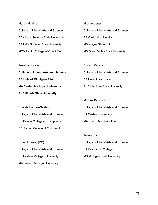| Marcia Hindman                            | Michael Jones                       |
|-------------------------------------------|-------------------------------------|
| College of Liberal Arts and Science       | College of Liberal Arts and Science |
| <b>ADN Lake Superior State University</b> | <b>BS Oakland University</b>        |
| <b>BS Lake Superior State University</b>  | MS Wayne State Univ                 |
| MTO Pacific College of Orient Med         | MS Grand Valley State University    |

| <b>Jessica Hoover</b>                      | <b>Edward Kabara</b>                 |
|--------------------------------------------|--------------------------------------|
| <b>College of Liberal Arts and Science</b> | College of Liberal Arts and Science  |
| <b>BA Univ of Michigan- Flint</b>          | <b>BS Univ of Wisconsin</b>          |
| <b>MA Central Michigan University</b>      | <b>PHD Michigan State University</b> |
| <b>PHD Illinois State University</b>       |                                      |

Rhonda Hughes-Seefeldt College of Liberal Arts and Science BS Palmer College of Chiropractic DC Palmer College of Chiropractic

Victor Johnson (DC) College of Liberal Arts and Science BS Eastern Michigan University MA Eastern Michigan University

Michael Kaminski College of Liberal Arts and Science BA Oakland University MA Univ of Michigan- Flint

Jeffrey Koch College of Liberal Arts and Science BA Kalamazoo College MS Michigan State University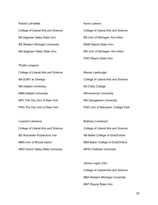| <b>Robert LaFollette</b>              | Kevin Lawson                        |
|---------------------------------------|-------------------------------------|
| College of Liberal Arts and Science   | College of Liberal Arts and Science |
| <b>BA Saginaw Valley State Univ</b>   | BS Univ of Michigan-Ann Arbor       |
| <b>BS Western Michigan University</b> | <b>MAM Wayne State Univ</b>         |
| MA Saginaw Valley State Univ          | MS Univ of Michigan-Ann Arbor       |
|                                       | PHD Wayne State Univ                |
| Phyllis Langone                       |                                     |
| College of Liberal Arts and Science   | Marian Leerburger                   |
| <b>BA SUNY at Oswego</b>              | College of Liberal Arts and Science |
| <b>MA Adelphi University</b>          | <b>BA Colby College</b>             |
| <b>MBA Adelphi University</b>         | <b>MA American University</b>       |
| MPL The City Univ of New York         | <b>MA Georgetown University</b>     |
| PHD The City Univ of New York         | PHD Univ of Maryland- College Park  |
|                                       |                                     |

Leonard Lawrence College of Liberal Arts and Science BS Worcester Polytechnic Inst MBA Univ of Rhode Island MED Grand Valley State University

Bethany Lockwood College of Liberal Arts and Science AB Baker College of Grad/Online

BBA Baker College of Grad/Online

MPW Chatham University

Janine Logan (CE) College of Liberal Arts and Science BBA Western Michigan University MAT Wayne State Univ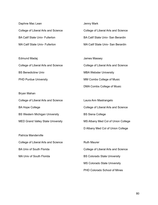| Daphne Mac Lean                       | Jenny Mark                               |
|---------------------------------------|------------------------------------------|
| College of Liberal Arts and Science   | College of Liberal Arts and Science      |
| <b>BA Calif State Univ- Fullerton</b> | <b>BA Calif State Univ- San Berardin</b> |
| <b>MA Calif State Univ- Fullerton</b> | MA Calif State Univ- San Berardin        |
|                                       |                                          |

Edmund Madaj College of Liberal Arts and Science BS Benedictine Univ PHD Purdue University James Massey College of Liberal Arts and Science MBA Webster University MM Combs College of Music

Bryan Mahan College of Liberal Arts and Science BA Hope College BS Western Michigan University MED Grand Valley State University

Patricia Manderville College of Liberal Arts and Science BA Univ of South Florida MA Univ of South Florida

Laura Ann Mastrangelo College of Liberal Arts and Science BS Siena College MS Albany Med Col of Union College D Albany Med Col of Union College

DMA Combs College of Music

Ruth Maurer College of Liberal Arts and Science BS Colorado State University MS Colorado State University PHD Colorado School of Mines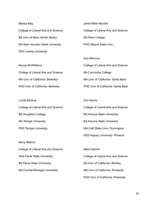| Marisa May                          | Janet Miller-Monfils                |
|-------------------------------------|-------------------------------------|
| College of Liberal Arts and Science | College of Liberal Arts and Science |
| BS Univ of Mary Hardin Baylor       | <b>BS Alma College</b>              |
| MA Sam Houston State University     | PHD Wayne State Univ                |
| <b>DED Liberty University</b>       |                                     |
|                                     | Ana Mitrovici                       |

| <b>Neusa McWilliams</b>             | College of Liberal Arts and Science |
|-------------------------------------|-------------------------------------|
| College of Liberal Arts and Science | <b>BA Concordia College</b>         |
| MA Univ of California- Berkeley     | MA Univ of California- Santa Barb   |
| PHD Univ of California- Berkeley    | PHD Univ of California- Santa Barb  |

| Lynda Micikas                       | <b>Erin Morris</b>                  |
|-------------------------------------|-------------------------------------|
| College of Liberal Arts and Science | College of Liberal Arts and Science |
| <b>BA Houghton College</b>          | <b>BA Arizona State University</b>  |
| <b>MA Temple University</b>         | <b>BA Arizona State University</b>  |
| <b>PHD Temple University</b>        | MA Calif State Univ- Dominguez      |
|                                     | DED Argosy University- Phoenix      |
| <b>Kerry Milarch</b>                |                                     |

College of Liberal Arts and Science AAA Ferris State University BS Ferris State University MA Central Michigan University

Maria Moulin College of Liberal Arts and Science BS Univ of California- Berkley MA Univ of California- Riverside PHD Univ of California- Riverside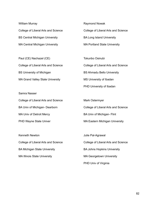William Murray College of Liberal Arts and Science BS Central Michigan University MA Central Michigan University

Paul (CE) Nachazel (CE) College of Liberal Arts and Science BS University of Michigan MA Grand Valley State University

Samra Nasser College of Liberal Arts and Science BA Univ of Michigan- Dearborn MA Univ of Detroit Mercy PHD Wayne State Univer

Kenneth Newton College of Liberal Arts and Science BA Michigan State University MA Illinois State University

Raymond Nowak College of Liberal Arts and Science BA Long Island University MA Portland State University

Tokunbo Osinubi College of Liberal Arts and Science BS Ahmadu Bello University MS University of Ibadan PHD University of Ibadan

Mark Ostermyer College of Liberal Arts and Science BA Univ of Michigan- Flint MA Eastern Michigan University

Julie Pal-Agrawal College of Liberal Arts and Science BA Johns Hopkins University MA Georgetown University PHD Univ of Virginia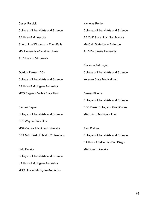| Casey Palbicki                            | <b>Nicholas Pertler</b>                 |
|-------------------------------------------|-----------------------------------------|
| College of Liberal Arts and Science       | College of Liberal Arts and Science     |
| <b>BA Univ of Minnesota</b>               | <b>BA Calif State Univ- San Marcos</b>  |
| <b>SLA Univ of Wisconsin- River Falls</b> | <b>MA Calif State Univ- Fullerton</b>   |
| MM University of Northern Iowa            | <b>PHD Duquesne University</b>          |
| <b>PHD Univ of Minnesota</b>              |                                         |
|                                           | Susanna Petrosyan                       |
| Gordon Parnes (DC)                        | College of Liberal Arts and Science     |
| College of Liberal Arts and Science       | Yerevan State Medical Inst              |
| BA Univ of Michigan-Ann Arbor             |                                         |
| <b>MED Saginaw Valley State Univ</b>      | Dineen Picerno                          |
|                                           | College of Liberal Arts and Science     |
| Sandra Payne                              | <b>BGS Baker College of Grad/Online</b> |
| College of Liberal Arts and Science       | MA Univ of Michigan- Flint              |
| <b>BSY Wayne State Univ</b>               |                                         |
| <b>MSA Central Michigan University</b>    | <b>Paul Pistone</b>                     |

Seth Persky College of Liberal Arts and Science BA Univ of Michigan- Ann Arbor MSO Univ of Michigan- Ann Arbor

DPT MGH Inst of Health Professions

College of Liberal Arts and Science BA Univ of California- San Diego MA Biola University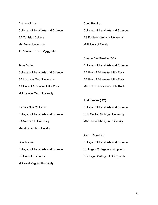Anthony Pizur College of Liberal Arts and Science BA Canisius College MA Brown University PHD Intern Univ of Kyrgyzstan

College of Liberal Arts and Science

BA Arkansas Tech University

M Arkansas Tech University

BS Univ of Arkansas- Little Rock

Jana Porter

Cheri Ramirez College of Liberal Arts and Science BS Eastern Kentucky University

MHL Univ of Florida

Sherrie Ray-Trevino (DC) College of Liberal Arts and Science BA Univ of Arkansas- Little Rock BA Univ of Arkansas- Little Rock MA Univ of Arkansas- Little Rock

Pamela Sue Quillamor College of Liberal Arts and Science BA Monmouth University MA Monmouth University Joel Reeves (DC)

Gina Rablau College of Liberal Arts and Science BS Univ of Bucharest MS West Virginia University

College of Liberal Arts and Science BSE Central Michigan University MA Central Michigan University

Aaron Rice (DC) College of Liberal Arts and Science BS Logan College of Chiropractic DC Logan College of Chiropractic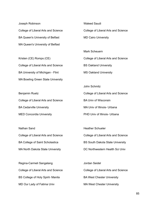Joseph Robinson College of Liberal Arts and Science BA Queen's University of Belfast MA Queen's University of Belfast Kristen (CE) Romps (CE) College of Liberal Arts and Science BA University of Michigan - Flint MA Bowling Green State University Benjamin Ruetz College of Liberal Arts and Science BA Cedarville University MED Concordia University Waleed Saudi College of Liberal Arts and Science MD Cairo University Mark Scheuern College of Liberal Arts and Science BS Oakland University MS Oakland University John Schmitz College of Liberal Arts and Science BA Univ of Wisconsin MA Univ of Illinois- Urbana PHD Univ of Illinois- Urbana

Nathan Sand College of Liberal Arts and Science BA College of Saint Scholastica MA North Dakota State University Heather Schueler College of Liberal Arts and Science BS South Dakota State University DC Northwestern Health Sci Univ

Regina-Carmeli Sangalang College of Liberal Arts and Science BS College of Holy Spirit- Manila MD Our Lady of Fatima Univ

Jordan Seidel College of Liberal Arts and Science BA West Chester University MA West Chester University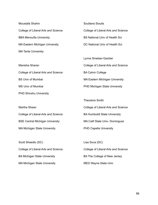Moustafa Shahin College of Liberal Arts and Science BBA Menoufia University MA Eastern Michigan University MA Tanta University

Manisha Sharan College of Liberal Arts and Science BS Univ of Mumbai MS Univ of Mumbai PHD Shinshu University

Martha Shean College of Liberal Arts and Science BSE Central Michigan University MA Michigan State University

Scott Sheedlo (DC) College of Liberal Arts and Science BA Michigan State University MA Michigan State University

Soultana Sioutis College of Liberal Arts and Science BS National Univ of Health Sci DC National Univ of Health Sci

Lynne Smelser-Gackler College of Liberal Arts and Science BA Calvin College MA Eastern Michigan University PHD Michigan State University

Theodore Smith College of Liberal Arts and Science BA Humboldt State University MA Calif State Univ- Dominguez PHD Capella University

Lisa Sova (DC) College of Liberal Arts and Science BA The College of New Jersey MED Wayne State Univ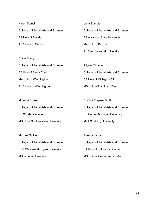| Karen Stancil                       | Lana Sumpter                        |
|-------------------------------------|-------------------------------------|
| College of Liberal Arts and Science | College of Liberal Arts and Science |
| <b>BS Univ of Florida</b>           | <b>BS Arkansas State University</b> |
| PHD Univ of Florida                 | MA Univ of Florida                  |
|                                     | <b>PHD Northcentral University</b>  |
| <b>Claire Starry</b>                |                                     |
| Collogo of Liberal Arts and Coiongo | Allyssa Thomas                      |

| College of Liberal Arts and Science | Allyssa Thomas                      |
|-------------------------------------|-------------------------------------|
| <b>BA Univ of Santa Clara</b>       | College of Liberal Arts and Science |
| MA Univ of Washington               | <b>BS Univ of Michigan- Flint</b>   |
| PHD Univ of Washington              | MS Univ of Michigan- Flint          |

| Miranda Styles                      | Cristina Trapani-Scott                |
|-------------------------------------|---------------------------------------|
| College of Liberal Arts and Science | College of Liberal Arts and Science   |
| <b>BS Shorter College</b>           | <b>BS Central Michigan University</b> |
| MS Nova Southeastern University     | <b>MFA Spalding University</b>        |
|                                     |                                       |

| Michael Sullivan                       |
|----------------------------------------|
| College of Liberal Arts and Science    |
| <b>BSR Western Michigan University</b> |
| <b>MS Indiana University</b>           |

Joanna Vance College of Liberal Arts and Science BA Univ of Colorado- Boulder MS Univ of Colorado- Boulder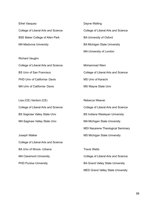| Ethel Vasquez                          | Dayne Walling                       |
|----------------------------------------|-------------------------------------|
| College of Liberal Arts and Science    | College of Liberal Arts and Science |
| <b>BSE Baker College of Allen Park</b> | <b>BA University of Oxford</b>      |
| <b>MA Madonna University</b>           | <b>BA Michigan State University</b> |
|                                        | <b>MA University of London</b>      |
| <b>Richard Vaughn</b>                  |                                     |
| College of Liberal Arts and Science    | Mohammad Wani                       |
| <b>BS Univ of San Francisco</b>        | College of Liberal Arts and Science |

PHD Univ of California- Davis MA Univ of California- Davis

Lisa (CE) Verdoni (CE) College of Liberal Arts and Science BS Saginaw Valley State Univ MA Saginaw Valley State Univ

Joseph Walker College of Liberal Arts and Science BA Univ of Illinois- Urbana MA Claremont University PHD Purdue University

Rebecca Weaver College of Liberal Arts and Science BS Indiana Wesleyan University MA Michigan State University MDI Nazarene Theological Seminary MS Michigan State University Travis Webb

MS Univ of Karachi

MS Wayne State Univ

College of Liberal Arts and Science BA Grand Valley State University MED Grand Valley State University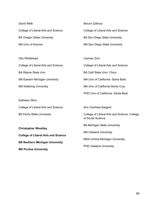| David Welk                                 | Mounir Zalloua                                                    |
|--------------------------------------------|-------------------------------------------------------------------|
| College of Liberal Arts and Science        | College of Liberal Arts and Science                               |
| <b>BS Oregon State University</b>          | <b>BA San Diego State University</b>                              |
| MA Univ of Arizona                         | MA San Diego State University                                     |
|                                            |                                                                   |
| Otis Whitehead                             | Carmen Zinn                                                       |
| College of Liberal Arts and Science        | College of Liberal Arts and Science                               |
| <b>BA Wayne State Univ</b>                 | <b>BA Calif State Univ- Chico</b>                                 |
| MA Eastern Michigan University             | MA Univ of California- Santa Barb                                 |
| <b>MS Kettering University</b>             | MA Univ of California-Santa Cruz                                  |
|                                            | PHD Univ of California- Santa Barb                                |
| Kathleen Winn                              |                                                                   |
| College of Liberal Arts and Science        | Ann Voorheis-Sargent                                              |
| <b>BS Ferris State University</b>          | College of Liberal Arts and Science, College<br>of Social Science |
| <b>Christopher Woodley</b>                 | <b>BA Michigan State University</b>                               |
| <b>College of Liberal Arts and Science</b> | <b>MA Oakland University</b>                                      |
| <b>BS Northern Michigan University</b>     | <b>MSA Central Michigan University</b>                            |
| <b>MS Purdue University</b>                | <b>PHD Oakland University</b>                                     |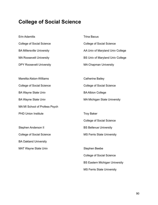## **College of Social Science**

Erin Adamitis College of Social Science BA Millersville University MA Roosevelt University DPY Roosevelt University Mareitta Alston-Williams College of Social Science BA Wayne State Univ BA Wayne State Univ MA MI School of Profess Psych PHD Union Institute Stephen Anderson II College of Social Science BA Oakland University MAT Wayne State Univ Trina Bacus College of Social Science AA Univ of Maryland Univ College BS Univ of Maryland Univ College MA Chapman University Catherine Bailey College of Social Science BA Albion College MA Michigan State University Troy Baker College of Social Science BS Bellevue University MS Ferris State University Stephen Beebe College of Social Science BS Eastern Michigan University MS Ferris State University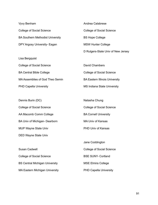| Vyvy Benham                             | Andrea Calabrese                   |
|-----------------------------------------|------------------------------------|
| <b>College of Social Science</b>        | College of Social Science          |
| <b>BA Southern Methodist University</b> | <b>BS Hope College</b>             |
| DPY Argosy University- Eagan            | <b>MSW Hunter College</b>          |
|                                         | D Rutgers-State Univ of New Jersey |
| Lisa Bergquist                          |                                    |

| <b>College of Social Science</b> | David Chambers                        |
|----------------------------------|---------------------------------------|
| <b>BA Central Bible College</b>  | College of Social Science             |
| MA Assemblies of God Theo Semin  | <b>BA Eastern Illinois University</b> |
| <b>PHD Capella University</b>    | <b>MS Indiana State University</b>    |

| Dennis Burin (DC)                | Natasha Chung                    |
|----------------------------------|----------------------------------|
| <b>College of Social Science</b> | <b>College of Social Science</b> |
| AA Macomb Comm College           | <b>BA Cornell University</b>     |
| BA Univ of Michigan- Dearborn    | MA Univ of Kansas                |
| <b>MUP Wayne State Univ</b>      | <b>PHD Univ of Kansas</b>        |
| DED Wayne State Univ             |                                  |
|                                  |                                  |

| Susan Cadwell                         | <b>College of Social Science</b> |
|---------------------------------------|----------------------------------|
| <b>College of Social Science</b>      | <b>BSE SUNY- Cortland</b>        |
| <b>BS Central Michigan University</b> | <b>MSE Elmira College</b>        |
| <b>MA Eastern Michigan University</b> | <b>PHD Capella University</b>    |

Jane Coddington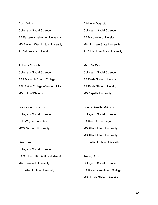| <b>April Collett</b>                    | Adrianne Daggett                    |
|-----------------------------------------|-------------------------------------|
| <b>College of Social Science</b>        | <b>College of Social Science</b>    |
| <b>BA Eastern Washington University</b> | <b>BA Marquette University</b>      |
| <b>MS Eastern Washington University</b> | <b>MA Michigan State University</b> |
| <b>PHD Gonzaga University</b>           | PHD Michigan State University       |

| Anthony Coppola                          | Mark De Pew                       |
|------------------------------------------|-----------------------------------|
| <b>College of Social Science</b>         | <b>College of Social Science</b>  |
| AAS Macomb Comm College                  | AA Ferris State University        |
| <b>BBL Baker College of Auburn Hills</b> | <b>BS Ferris State University</b> |
| MS Univ of Phoenix                       | <b>MS Capella University</b>      |

Francesco Costanzo College of Social Science BSE Wayne State Univ MED Oakland University

Lisa Cree College of Social Science BA Southern Illinois Univ- Edward MA Roosevelt University PHD Alliant Intern University

Donna Dimatteo-Gibson College of Social Science BA Univ of San Diego MS Alliant Intern University MS Alliant Intern University PHD Alliant Intern University

Tracey Duck College of Social Science BA Roberts Wesleyan College MS Florida State University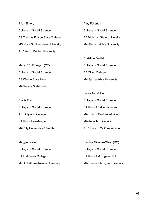Brian Emery College of Social Science BS Thomas Edison State College MS Nova Southeastern University PHD North Central University

Mary (CE) Finnigan (CE) College of Social Science BS Wayne State Univ MA Wayne State Univ

Stacie Flynn College of Social Science ARS Olympic College BA Univ of Washington MA City University of Seattle Amy Fullerton College of Social Science BA Michigan State University MA Siena Heights University

Christine Garfield College of Social Science BA Olivet College MA Spring Arbor University

Laura Ann Gilbert College of Social Science BA Univ of California-Irvine MA Univ of California-Irvine MA Antioch University PHD Univ of California-Irvine

Maggie Foster College of Social Science BA Fort Lewis College MED Northern Arizona University Cynthia Gilmore-Olson (DC) College of Social Science BA Univ of Michigan- Flint MA Central Michigan University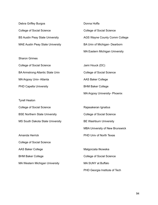| Debra Griffey Burgos                    |
|-----------------------------------------|
| <b>College of Social Science</b>        |
| <b>BS Austin Peay State University</b>  |
| <b>MAE Austin Peay State University</b> |

| <b>Sharon Grimes</b>                    |
|-----------------------------------------|
| <b>College of Social Science</b>        |
| <b>BA Armstrong Atlantic State Univ</b> |
| MA Argosy Univ-Atlanta                  |
| <b>PHD Capella University</b>           |

Tyrell Heaton College of Social Science BSE Northern State University MS South Dakota State University

Amanda Herrick College of Social Science AAS Baker College BHM Baker College MA Western Michigan University Donna Hoffa College of Social Science AGS Wayne County Comm College BA Univ of Michigan- Dearborn MA Eastern Michigan University

Jami Houck (DC) College of Social Science AAS Baker College BHM Baker College MA Argosy University- Phoenix

Rajasakeran Ignatius College of Social Science BE Washburn University MBA University of New Brunswick PHD Univ of North Texas

Malgorzata Ilkowska College of Social Science MA SUNY at Buffalo PHD Georgia Institute of Tech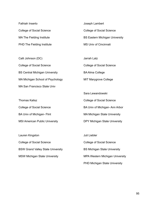Fathiah Inserto College of Social Science MA The Fielding Institute PHD The Fielding Institute Joseph Lambert College of Social Science BS Eastern Michigan University MS Univ of Cincinnati

Calli Johnson (DC) College of Social Science BS Central Michigan University MA Michigan School of Psychology MA San Francisco State Univ

Thomas Kalisz College of Social Science BA Univ of Michigan- Flint MSI American Public University

Lauren Kingston College of Social Science BSW Grand Valley State University MSW Michigan State University

Jarrah Latz College of Social Science BA Alma College MIT Marygrove College

Sara Lewandowski College of Social Science BA Univ of Michigan- Ann Arbor MA Michigan State University DPY Michigan State University

Juli Liebler College of Social Science BS Michigan State University MPA Western Michigan University PHD Michigan State University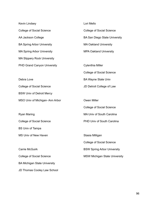| <b>Kevin Lindsey</b>                | Lori Mello                           |
|-------------------------------------|--------------------------------------|
| <b>College of Social Science</b>    | <b>College of Social Science</b>     |
| AA Jackson College                  | <b>BA San Diego State University</b> |
| <b>BA Spring Arbor University</b>   | <b>MA Oakland University</b>         |
| <b>MA Spring Arbor University</b>   | <b>MPA Oakland University</b>        |
| <b>MA Slippery Rock University</b>  |                                      |
| <b>PHD Grand Canyon University</b>  | <b>Cylenthia Miller</b>              |
|                                     | <b>College of Social Science</b>     |
| Debra Love                          | <b>BA Wayne State Univ</b>           |
| <b>College of Social Science</b>    | JD Detroit College of Law            |
| <b>BSW Univ of Detroit Mercy</b>    |                                      |
| MSO Univ of Michigan-Ann Arbor      | <b>Owen Miller</b>                   |
|                                     | <b>College of Social Science</b>     |
| <b>Ryan Maring</b>                  | MA Univ of South Carolina            |
|                                     |                                      |
| <b>College of Social Science</b>    | PHD Univ of South Carolina           |
| <b>BS Univ of Tampa</b>             |                                      |
| MS Univ of New Haven                | Stasia Milligan                      |
|                                     | <b>College of Social Science</b>     |
| <b>Carrie McGuirk</b>               | <b>BSW Spring Arbor University</b>   |
| <b>College of Social Science</b>    |                                      |
| <b>BA Michigan State University</b> | <b>MSW Michigan State University</b> |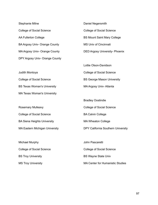Stephanie Milne College of Social Science AA Fullerton College BA Argosy Univ- Orange County MA Argosy Univ- Orange County DPY Argosy Univ- Orange County

Judith Montoya

College of Social Science BS Texas Woman's University MA Texas Woman's University

Rosemary Mulleavy College of Social Science BA Siena Heights University MA Eastern Michigan University

Michael Murphy College of Social Science BS Troy University MS Troy University

Daniel Negersmith College of Social Science BS Mount Saint Mary College MS Univ of Cincinnati DED Argosy University- Phoenix

Lottie Olson-Davidson College of Social Science BS George Mason University MA Argosy Univ- Atlanta

Bradley Oostindie College of Social Science BA Calvin College MA Wheaton College DPY California Southern University

John Pascaretti College of Social Science BS Wayne State Univ MA Center for Humanistic Studies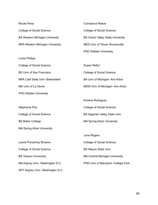| Nicole Pena                           | Constance Reece                         |
|---------------------------------------|-----------------------------------------|
| <b>College of Social Science</b>      | <b>College of Social Science</b>        |
| <b>BA Western Michigan University</b> | <b>BS Grand Valley State University</b> |
| MPA Western Michigan University       | MED Univ of Texas-Brownsville           |
|                                       | <b>PHD Walden University</b>            |
| Linda Phillips                        |                                         |
| College of Social Science             | Susan Refior                            |

BS Univ of San Francisco MPA Calif State Univ- Bakersfield MS Univ of La Verne College of Social Science BA Univ of Michigan- Ann Arbor MSW Univ of Michigan- Ann Arbor

Stephanie Poe College of Social Science BS Baker College MA Spring Arbor University Kristina Rodriguez College of Social Science BA Saginaw Valley State Univ MA Spring Arbor University

Laurie Pumphrey Browne College of Social Science BS Towson University MA Argosy Univ- Washington D.C. DPY Argosy Univ- Washington D.C.

PHD Walden University

June Rogers College of Social Science BS Wayne State Univ MA Central Michigan University PHD Univ of Maryland- College Park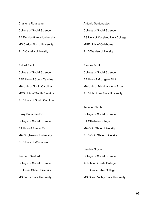Charlene Rousseau College of Social Science BA Florida Atlantic University MS Carlos Albizu University PHD Capella University

Antonio Santonastasi College of Social Science BS Univ of Maryland Univ College MHR Univ of Oklahoma PHD Walden University

Suhad Sadik College of Social Science BAE Univ of South Carolina MA Univ of South Carolina MED Univ of South Carolina PHD Univ of South Carolina Sandra Scott College of Social Science BA Univ of Michigan- Flint MA Univ of Michigan- Ann Arbor PHD Michigan State University

Harry Sanabria (DC) College of Social Science BA Univ of Puerto Rico MA Binghamton University PHD Univ of Wisconsin

Kenneth Sanford College of Social Science BS Ferris State University MS Ferris State University Jennifer Shultz College of Social Science BA Otterbein College MA Ohio State University PHD Ohio State University

Cynthia Shyne College of Social Science ASR Miami Dade College BRS Grace Bible College MS Grand Valley State University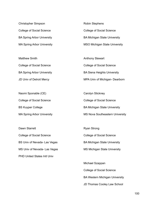Christopher Simpson College of Social Science BA Spring Arbor University MA Spring Arbor University

Matthew Smith College of Social Science BA Spring Arbor University JD Univ of Detroit Mercy

Naomi Sponable (CE) College of Social Science BS Kuyper College MA Spring Arbor University

Dawn Starrett College of Social Science BS Univ of Nevada- Las Vegas MS Univ of Nevada- Las Vegas PHD United States Intl Univ

Robin Stephens College of Social Science BA Michigan State University MSO Michigan State University

Anthony Stewart College of Social Science BA Siena Heights University MPA Univ of Michigan- Dearborn

Carolyn Stickney College of Social Science BA Michigan State University MS Nova Southeastern University

Ryan Strong College of Social Science BA Michigan State University MS Michigan State University

Michael Szappan College of Social Science BA Western Michigan University JD Thomas Cooley Law School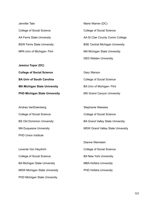Jennifer Tate College of Social Science AA Ferris State University BSW Ferris State University MPA Univ of Michigan- Flint

**Jessica Topor (DC) College of Social Science BA Univ of South Carolina MA Michigan State University PHD Michigan State University**

Andrea VanEstenberg College of Social Science BS Old Dominion University MA Duquesne University PHD Union Institute

Levente Von Heydrich College of Social Science BA Michigan State University MSW Michigan State University PHD Michigan State University

Marie Warren (DC) College of Social Science AA St Clair County Comm College BSE Central Michigan University MA Michigan State University DED Walden University

Gary Warson College of Social Science BA Univ of Michigan- Flint MS Grand Canyon University

Stephanie Weesies College of Social Science BA Grand Valley State University MSW Grand Valley State University

Dianne Weinstein College of Social Science BA New York University MBA Hofstra University PHD Hofstra University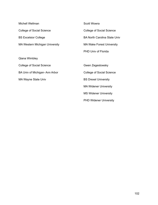| <b>Michell Wellman</b>                | <b>Scott Wowra</b>                  |
|---------------------------------------|-------------------------------------|
| <b>College of Social Science</b>      | <b>College of Social Science</b>    |
| <b>BS Excelsior College</b>           | <b>BA North Carolina State Univ</b> |
| <b>MA Western Michigan University</b> | <b>MA Wake Forest University</b>    |
|                                       | <b>PHD Univ of Florida</b>          |
| Qiana Wimbley                         |                                     |
| <b>College of Social Science</b>      | Gwen Zegestowsky                    |
| BA Univ of Michigan-Ann Arbor         | <b>College of Social Science</b>    |
| <b>MA Wayne State Univ</b>            | <b>BS Drexel University</b>         |
|                                       | <b>MA Widener University</b>        |
|                                       | <b>MS Widener University</b>        |
|                                       | <b>PHD Widener University</b>       |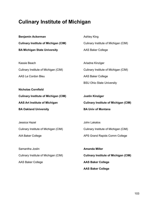## **Culinary Institute of Michigan**

| <b>Benjamin Ackerman</b>                    | <b>Ashley King</b>                          |
|---------------------------------------------|---------------------------------------------|
| <b>Culinary Institute of Michigan (CIM)</b> | Culinary Institute of Michigan (CIM)        |
| <b>BA Michigan State University</b>         | <b>AAS Baker College</b>                    |
|                                             |                                             |
| Kassie Beach                                | Ariadne Kinziger                            |
| Culinary Institute of Michigan (CIM)        | Culinary Institute of Michigan (CIM)        |
| AAS Le Cordon Bleu                          | <b>AAS Baker College</b>                    |
|                                             | <b>BSU Ohio State University</b>            |
| <b>Nicholas Cornfield</b>                   |                                             |
| <b>Culinary Institute of Michigan (CIM)</b> | <b>Justin Kinziger</b>                      |
|                                             |                                             |
| <b>AAS Art Institute of Michigan</b>        | <b>Culinary Institute of Michigan (CIM)</b> |
| <b>BA Oakland University</b>                | <b>BA Univ of Montana</b>                   |
|                                             |                                             |
| Jessica Hazel                               | John Lakatos                                |
| Culinary Institute of Michigan (CIM)        | Culinary Institute of Michigan (CIM)        |
| AIA Baker College                           | APS Grand Rapids Comm College               |
|                                             |                                             |
| Samantha Joslin                             | Amanda Miller                               |
| Culinary Institute of Michigan (CIM)        | <b>Culinary Institute of Michigan (CIM)</b> |
| <b>AAS Baker College</b>                    | <b>AAS Baker College</b>                    |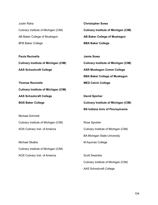| Justin Raha                                 | <b>Christopher Sowa</b>                     |
|---------------------------------------------|---------------------------------------------|
| Culinary Institute of Michigan (CIM)        | <b>Culinary Institute of Michigan (CIM)</b> |
| AB Baker College of Muskegon                | <b>AB Baker College of Muskegon</b>         |
| <b>BFB Baker College</b>                    | <b>BBA Baker College</b>                    |
| <b>Paula Recinella</b>                      | <b>Jamie Sowa</b>                           |
| <b>Culinary Institute of Michigan (CIM)</b> | <b>Culinary Institute of Michigan (CIM)</b> |
| <b>AAS Schoolcraft College</b>              | <b>ASR Muskegon Comm College</b>            |
|                                             | <b>BBA Baker College of Muskegon</b>        |
| <b>Thomas Recinella</b>                     | <b>MED Calvin College</b>                   |
| <b>Culinary Institute of Michigan (CIM)</b> |                                             |
| <b>AAS Schoolcraft College</b>              | <b>David Spicher</b>                        |
| <b>BGS Baker College</b>                    | <b>Culinary Institute of Michigan (CIM)</b> |
|                                             | <b>BS Indiana Univ of Pennsylvania</b>      |
| <b>Michael Schmidt</b>                      |                                             |
| Culinary Institute of Michigan (CIM)        | Rose Spickler                               |
| AOS Culinary Inst. of America               | Culinary Institute of Michigan (CIM)        |
|                                             | <b>BA Michigan State University</b>         |
| Michael Skalba                              | M Aquinas College                           |
| Culinary Institute of Michigan (CIM)        |                                             |
| AOS Culinary Inst. of America               | Scott Swamba                                |
|                                             | Culinary Institute of Michigan (CIM)        |
|                                             | <b>AAS Schoolcraft College</b>              |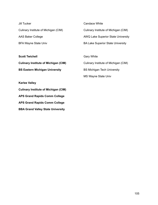| Jill Tucker                          | Candace White                            |
|--------------------------------------|------------------------------------------|
| Culinary Institute of Michigan (CIM) | Culinary Institute of Michigan (CIM)     |
| AAS Baker College                    | AWQ Lake Superior State University       |
| <b>BFA Wayne State Univ</b>          | <b>BA Lake Superior State University</b> |
|                                      |                                          |
| <b>Scott Twichell</b>                | Gary White                               |

**Culinary Institute of Michigan (CIM) BS Eastern Michigan University**

**Karlee Valley**

**Culinary Institute of Michigan (CIM) APS Grand Rapids Comm College APS Grand Rapids Comm College BBA Grand Valley State University**

Gary White Culinary Institute of Michigan (CIM) BS Michigan Tech University MS Wayne State Univ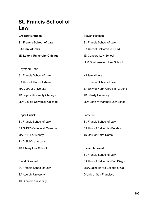## **St. Francis School of Law**

**Gregory Brandes St. Francis School of Law BA Univ of Iowa JD Loyola University Chicago**

Raymond Chao

Roger Cusick

St. Francis School of Law BA Univ of Illinois- Urbana MA DePaul University JD Loyola University Chicago

LLM Loyola University Chicago

St. Francis School of Law BA SUNY- College at Oneonta MA SUNY at Albany PHD SUNY at Albany JD Albany Law School

David Graubert St. Francis School of Law BA Adelphi University JD Stanford University

Steven Hoffman St. Francis School of Law BA Univ of California (UCLA) JD Concord Law School LLM Southwestern Law School

William Kilgore St. Francis School of Law BA Univ of North Carolina- Greens JD Liberty University LLM John M Marshall Law School

St. Francis School of Law BA Univ of California- Berkley JD Univ of Notre Dame

Larry Liu

Steven Moawad St. Francis School of Law BA Univ of California- San Diego MBA Saint Mary's College of Cal D Univ of San Francisco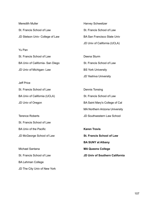| Meredith Muller                  | <b>Harvey Schweitzer</b>           |
|----------------------------------|------------------------------------|
| St. Francis School of Law        | St. Francis School of Law          |
| JD Stetson Univ- College of Law  | <b>BA San Francisco State Univ</b> |
|                                  | JD Univ of California (UCLA)       |
| Yu Pan                           |                                    |
| St. Francis School of Law        | Deena Sturm                        |
| BA Univ of California- San Diego | St. Francis School of Law          |
| JD Univ of Michigan-Law          | <b>BS York University</b>          |
|                                  |                                    |

Jeff Price

St. Francis School of Law BA Univ of California (UCLA) JD Univ of Oregon

Terence Roberts

St. Francis School of Law

BA Univ of the Pacific

JD McGeorge School of Law

Michael Santana St. Francis School of Law

BA Lehman College

JD The City Univ of New York

JD Yeshiva University

Dennis Tonsing St. Francis School of Law BA Saint Mary's College of Cal MA Northern Arizona University JD Southwestern Law School

**Karen Travis St. Francis School of Law BA SUNY at Albany MA Queens College JD Univ of Southern California**